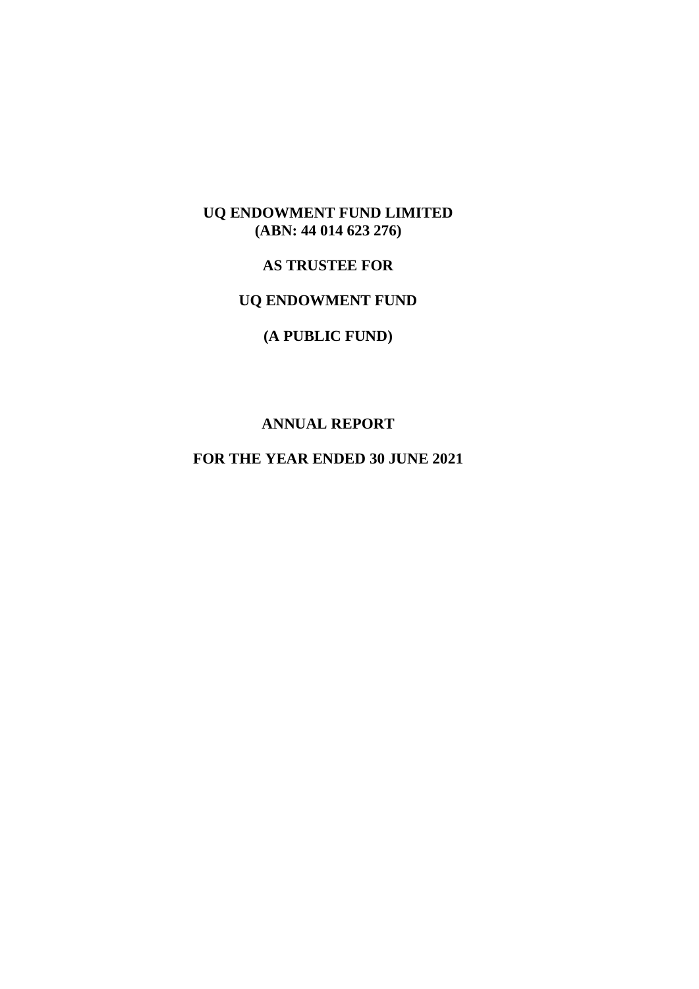**UQ ENDOWMENT FUND LIMITED (ABN: 44 014 623 276)**

# **AS TRUSTEE FOR**

## **UQ ENDOWMENT FUND**

# **(A PUBLIC FUND)**

#### **ANNUAL REPORT**

# **FOR THE YEAR ENDED 30 JUNE 2021**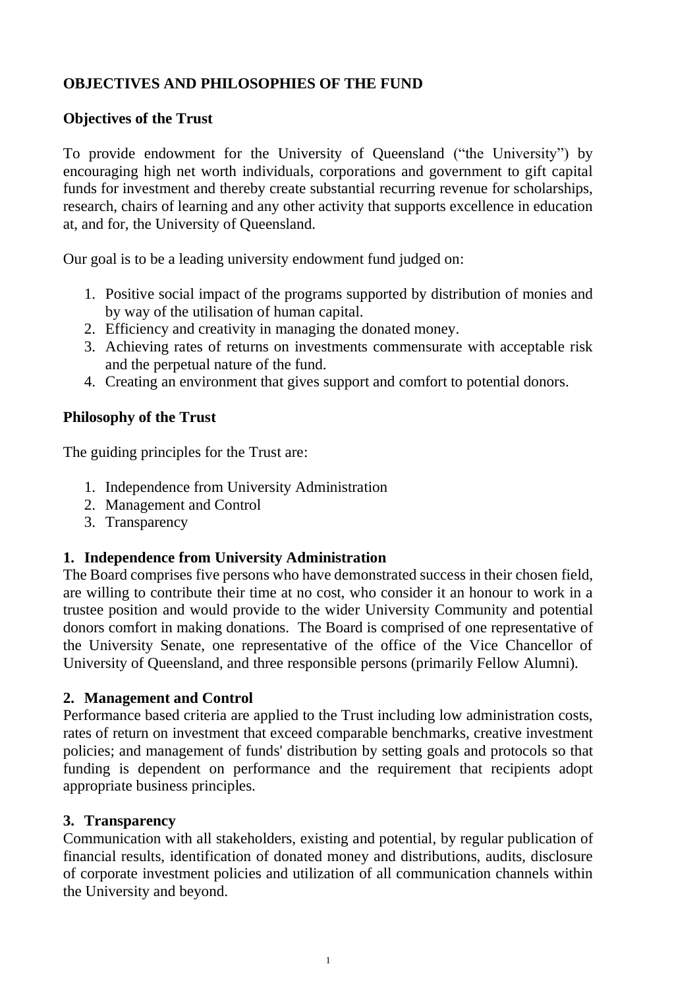# **OBJECTIVES AND PHILOSOPHIES OF THE FUND**

#### **Objectives of the Trust**

To provide endowment for the University of Queensland ("the University") by encouraging high net worth individuals, corporations and government to gift capital funds for investment and thereby create substantial recurring revenue for scholarships, research, chairs of learning and any other activity that supports excellence in education at, and for, the University of Queensland.

Our goal is to be a leading university endowment fund judged on:

- 1. Positive social impact of the programs supported by distribution of monies and by way of the utilisation of human capital.
- 2. Efficiency and creativity in managing the donated money.
- 3. Achieving rates of returns on investments commensurate with acceptable risk and the perpetual nature of the fund.
- 4. Creating an environment that gives support and comfort to potential donors.

#### **Philosophy of the Trust**

The guiding principles for the Trust are:

- 1. Independence from University Administration
- 2. Management and Control
- 3. Transparency

#### **1. Independence from University Administration**

The Board comprises five persons who have demonstrated success in their chosen field, are willing to contribute their time at no cost, who consider it an honour to work in a trustee position and would provide to the wider University Community and potential donors comfort in making donations. The Board is comprised of one representative of the University Senate, one representative of the office of the Vice Chancellor of University of Queensland, and three responsible persons (primarily Fellow Alumni).

#### **2. Management and Control**

Performance based criteria are applied to the Trust including low administration costs, rates of return on investment that exceed comparable benchmarks, creative investment policies; and management of funds' distribution by setting goals and protocols so that funding is dependent on performance and the requirement that recipients adopt appropriate business principles.

#### **3. Transparency**

Communication with all stakeholders, existing and potential, by regular publication of financial results, identification of donated money and distributions, audits, disclosure of corporate investment policies and utilization of all communication channels within the University and beyond.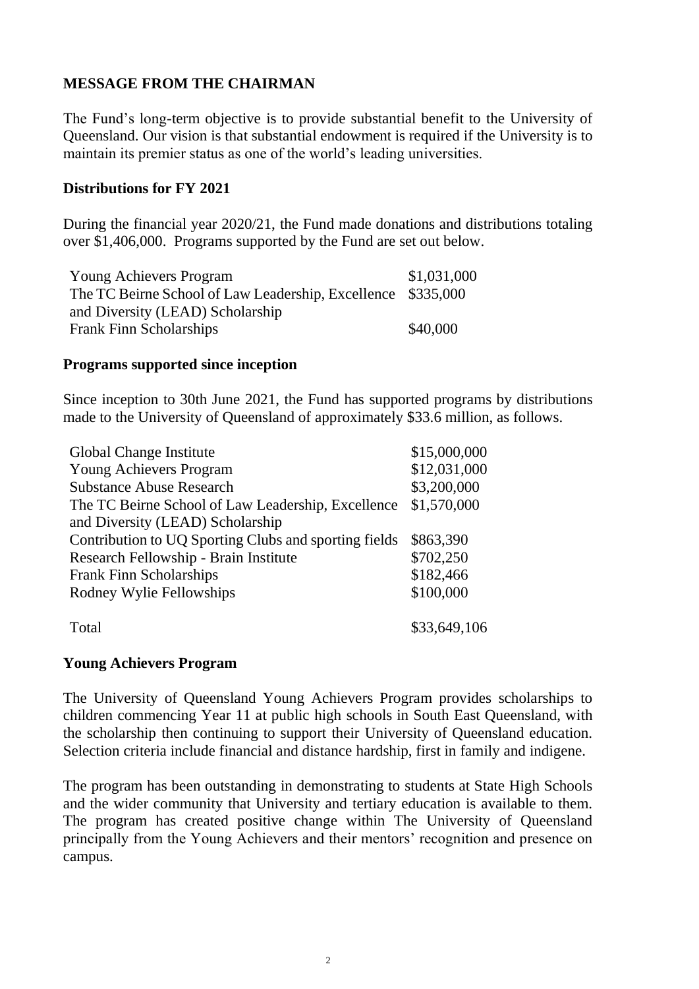### **MESSAGE FROM THE CHAIRMAN**

The Fund's long-term objective is to provide substantial benefit to the University of Queensland. Our vision is that substantial endowment is required if the University is to maintain its premier status as one of the world's leading universities.

#### **Distributions for FY 2021**

During the financial year 2020/21, the Fund made donations and distributions totaling over \$1,406,000. Programs supported by the Fund are set out below.

| <b>Young Achievers Program</b>                               | \$1,031,000 |
|--------------------------------------------------------------|-------------|
| The TC Beirne School of Law Leadership, Excellence \$335,000 |             |
| and Diversity (LEAD) Scholarship                             |             |
| <b>Frank Finn Scholarships</b>                               | \$40,000    |

#### **Programs supported since inception**

Since inception to 30th June 2021, the Fund has supported programs by distributions made to the University of Queensland of approximately \$33.6 million, as follows.

| Global Change Institute                               | \$15,000,000 |
|-------------------------------------------------------|--------------|
| <b>Young Achievers Program</b>                        | \$12,031,000 |
| <b>Substance Abuse Research</b>                       | \$3,200,000  |
| The TC Beirne School of Law Leadership, Excellence    | \$1,570,000  |
| and Diversity (LEAD) Scholarship                      |              |
| Contribution to UQ Sporting Clubs and sporting fields | \$863,390    |
| Research Fellowship - Brain Institute                 | \$702,250    |
| <b>Frank Finn Scholarships</b>                        | \$182,466    |
| Rodney Wylie Fellowships                              | \$100,000    |
|                                                       |              |
| Total                                                 | \$33,649,106 |

#### **Young Achievers Program**

The University of Queensland Young Achievers Program provides scholarships to children commencing Year 11 at public high schools in South East Queensland, with the scholarship then continuing to support their University of Queensland education. Selection criteria include financial and distance hardship, first in family and indigene.

The program has been outstanding in demonstrating to students at State High Schools and the wider community that University and tertiary education is available to them. The program has created positive change within The University of Queensland principally from the Young Achievers and their mentors' recognition and presence on campus.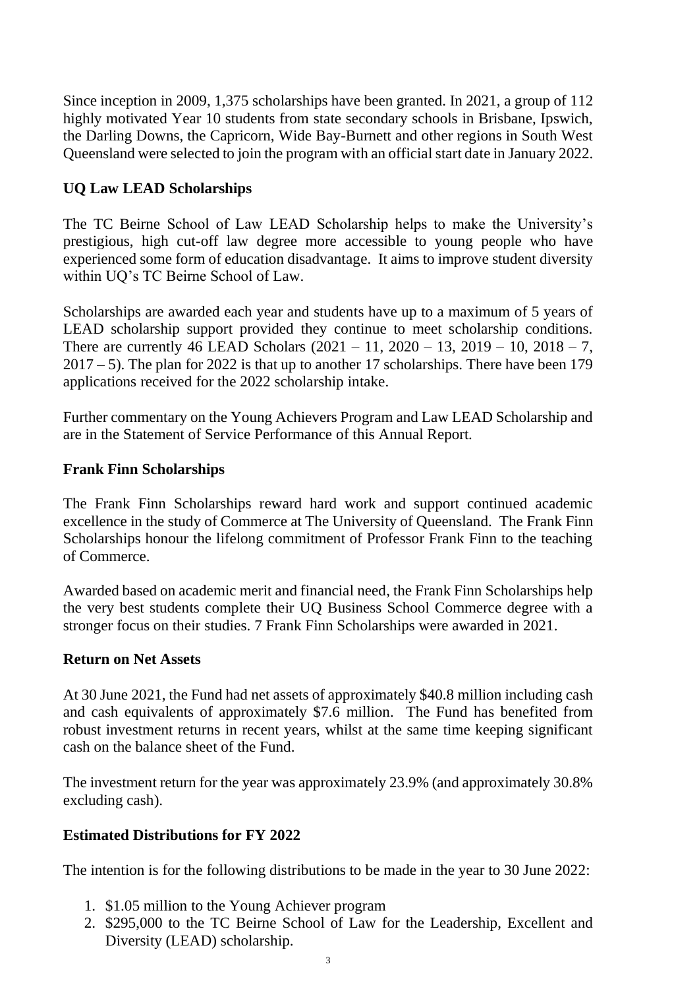Since inception in 2009, 1,375 scholarships have been granted. In 2021, a group of 112 highly motivated Year 10 students from state secondary schools in Brisbane, Ipswich, the Darling Downs, the Capricorn, Wide Bay-Burnett and other regions in South West Queensland were selected to join the program with an official start date in January 2022.

# **UQ Law LEAD Scholarships**

The TC Beirne School of Law LEAD Scholarship helps to make the University's prestigious, high cut-off law degree more accessible to young people who have experienced some form of education disadvantage. It aims to improve student diversity within UQ's TC Beirne School of Law.

Scholarships are awarded each year and students have up to a maximum of 5 years of LEAD scholarship support provided they continue to meet scholarship conditions. There are currently 46 LEAD Scholars  $(2021 - 11, 2020 - 13, 2019 - 10, 2018 - 7,$  $2017 - 5$ ). The plan for 2022 is that up to another 17 scholarships. There have been 179 applications received for the 2022 scholarship intake.

Further commentary on the Young Achievers Program and Law LEAD Scholarship and are in the Statement of Service Performance of this Annual Report.

#### **Frank Finn Scholarships**

The Frank Finn Scholarships reward hard work and support continued academic excellence in the study of Commerce at The University of Queensland. The Frank Finn Scholarships honour the lifelong commitment of Professor Frank Finn to the teaching of Commerce.

Awarded based on academic merit and financial need, the Frank Finn Scholarships help the very best students complete their UQ Business School Commerce degree with a stronger focus on their studies. 7 Frank Finn Scholarships were awarded in 2021.

#### **Return on Net Assets**

At 30 June 2021, the Fund had net assets of approximately \$40.8 million including cash and cash equivalents of approximately \$7.6 million. The Fund has benefited from robust investment returns in recent years, whilst at the same time keeping significant cash on the balance sheet of the Fund.

The investment return for the year was approximately 23.9% (and approximately 30.8% excluding cash).

#### **Estimated Distributions for FY 2022**

The intention is for the following distributions to be made in the year to 30 June 2022:

- 1. \$1.05 million to the Young Achiever program
- 2. \$295,000 to the TC Beirne School of Law for the Leadership, Excellent and Diversity (LEAD) scholarship.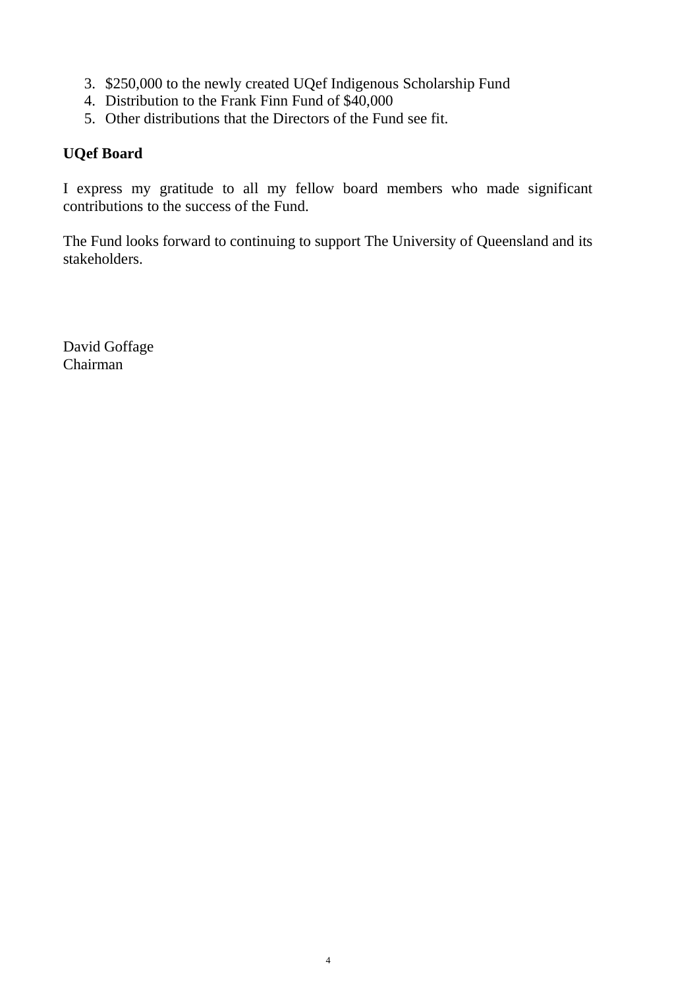- 3. \$250,000 to the newly created UQef Indigenous Scholarship Fund
- 4. Distribution to the Frank Finn Fund of \$40,000
- 5. Other distributions that the Directors of the Fund see fit.

# **UQef Board**

I express my gratitude to all my fellow board members who made significant contributions to the success of the Fund.

The Fund looks forward to continuing to support The University of Queensland and its stakeholders.

David Goffage Chairman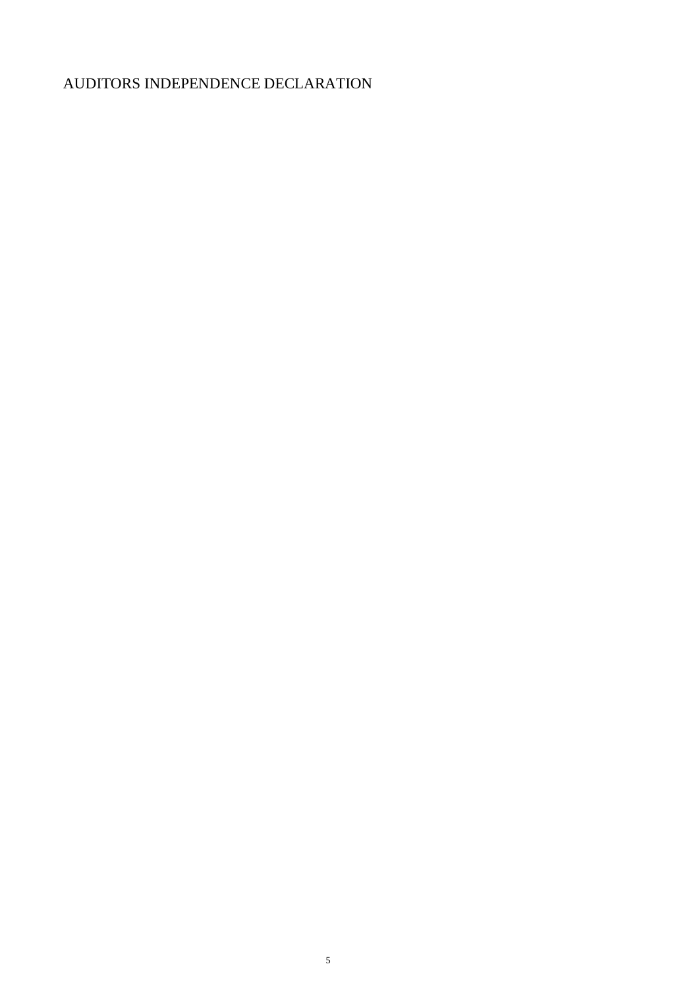# AUDITORS INDEPENDENCE DECLARATION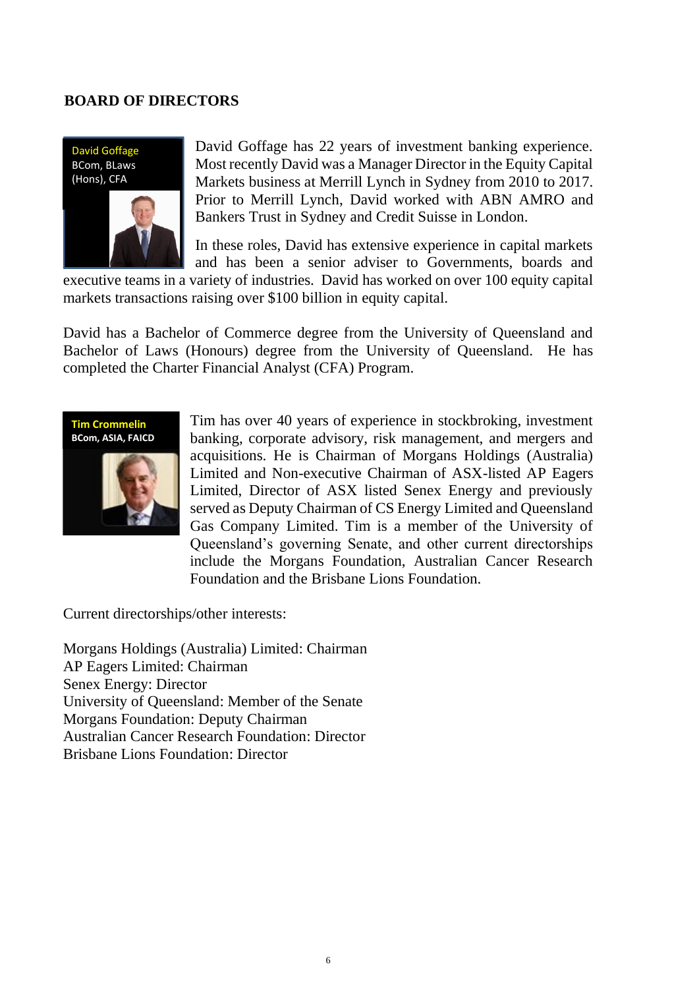#### **BOARD OF DIRECTORS**



David Goffage has 22 years of investment banking experience. Most recently David was a Manager Director in the Equity Capital Markets business at Merrill Lynch in Sydney from 2010 to 2017. Prior to Merrill Lynch, David worked with ABN AMRO and Bankers Trust in Sydney and Credit Suisse in London.

In these roles, David has extensive experience in capital markets and has been a senior adviser to Governments, boards and

executive teams in a variety of industries. David has worked on over 100 equity capital markets transactions raising over \$100 billion in equity capital.

David has a Bachelor of Commerce degree from the University of Queensland and Bachelor of Laws (Honours) degree from the University of Queensland. He has completed the Charter Financial Analyst (CFA) Program.



Tim has over 40 years of experience in stockbroking, investment banking, corporate advisory, risk management, and mergers and acquisitions. He is Chairman of Morgans Holdings (Australia) Limited and Non-executive Chairman of ASX-listed AP Eagers Limited, Director of ASX listed Senex Energy and previously served as Deputy Chairman of CS Energy Limited and Queensland Gas Company Limited. Tim is a member of the University of Queensland's governing Senate, and other current directorships include the Morgans Foundation, Australian Cancer Research Foundation and the Brisbane Lions Foundation.

Current directorships/other interests:

Morgans Holdings (Australia) Limited: Chairman AP Eagers Limited: Chairman Senex Energy: Director University of Queensland: Member of the Senate Morgans Foundation: Deputy Chairman Australian Cancer Research Foundation: Director Brisbane Lions Foundation: Director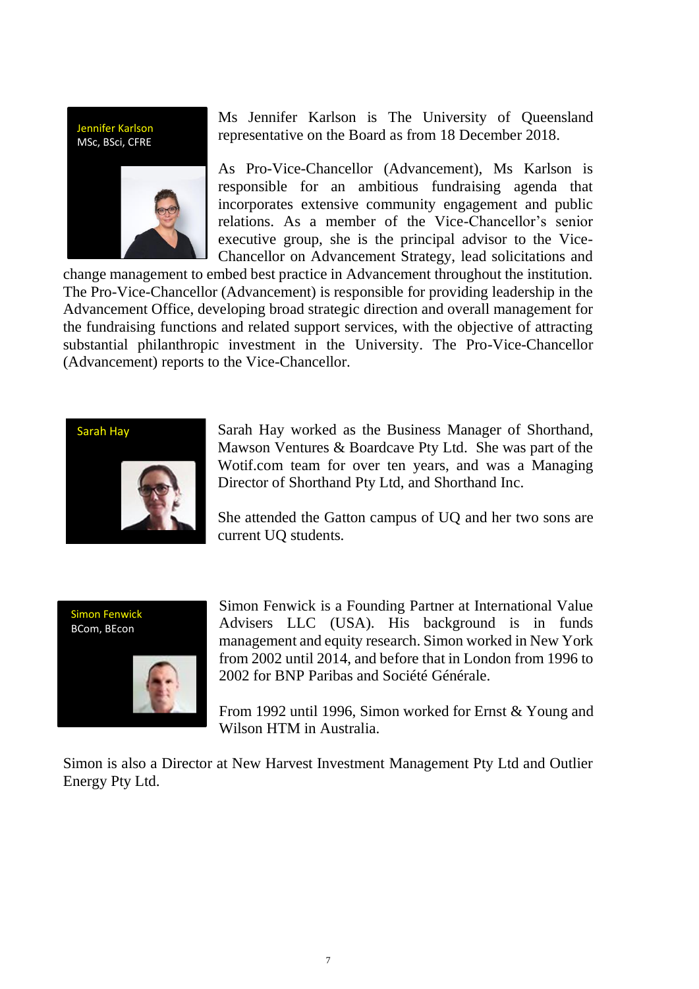Jennifer Karlson MSc, BSci, CFRE



Ms Jennifer Karlson is The University of Queensland representative on the Board as from 18 December 2018.

As Pro-Vice-Chancellor (Advancement), Ms Karlson is responsible for an ambitious fundraising agenda that incorporates extensive community engagement and public relations. As a member of the Vice-Chancellor's senior executive group, she is the principal advisor to the Vice-Chancellor on Advancement Strategy, lead solicitations and

change management to embed best practice in Advancement throughout the institution. The Pro-Vice-Chancellor (Advancement) is responsible for providing leadership in the Advancement Office, developing broad strategic direction and overall management for the fundraising functions and related support services, with the objective of attracting substantial philanthropic investment in the University. The Pro-Vice-Chancellor (Advancement) reports to the Vice-Chancellor.



Sarah Hay worked as the Business Manager of Shorthand, Mawson Ventures & Boardcave Pty Ltd. She was part of the Wotif.com team for over ten years, and was a Managing Director of Shorthand Pty Ltd, and Shorthand Inc.

She attended the Gatton campus of UQ and her two sons are current UQ students.



Simon Fenwick is a Founding Partner at International Value Advisers LLC (USA). His background is in funds management and equity research. Simon worked in New York from 2002 until 2014, and before that in London from 1996 to 2002 for BNP Paribas and Société Générale.

From 1992 until 1996, Simon worked for Ernst & Young and Wilson HTM in Australia.

Simon is also a Director at New Harvest Investment Management Pty Ltd and Outlier Energy Pty Ltd.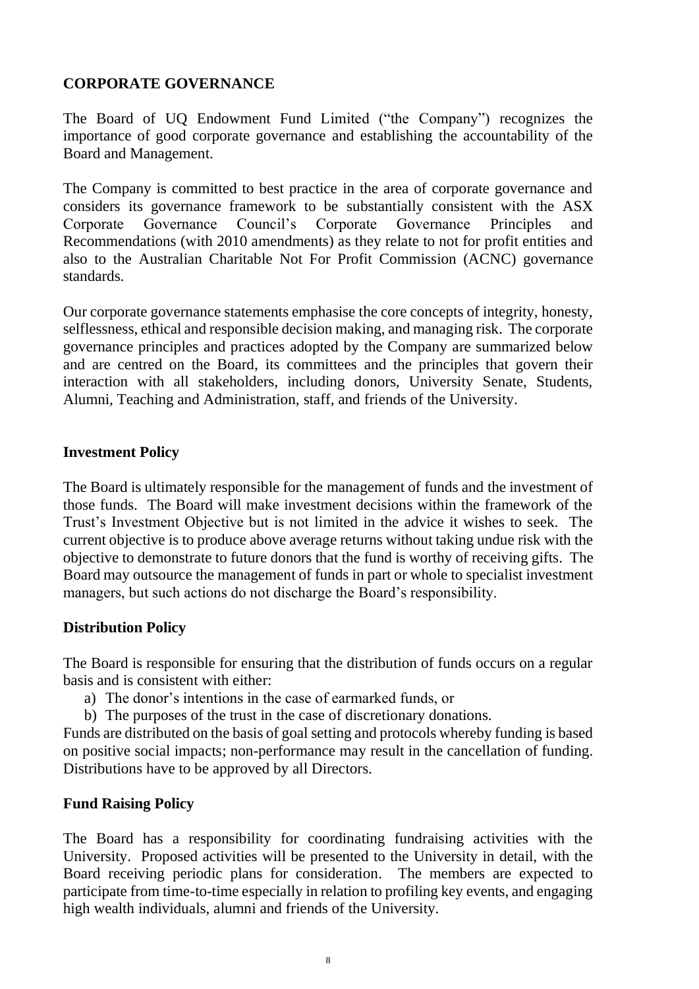# **CORPORATE GOVERNANCE**

The Board of UQ Endowment Fund Limited ("the Company") recognizes the importance of good corporate governance and establishing the accountability of the Board and Management.

The Company is committed to best practice in the area of corporate governance and considers its governance framework to be substantially consistent with the ASX Corporate Governance Council's Corporate Governance Principles and Recommendations (with 2010 amendments) as they relate to not for profit entities and also to the Australian Charitable Not For Profit Commission (ACNC) governance standards.

Our corporate governance statements emphasise the core concepts of integrity, honesty, selflessness, ethical and responsible decision making, and managing risk. The corporate governance principles and practices adopted by the Company are summarized below and are centred on the Board, its committees and the principles that govern their interaction with all stakeholders, including donors, University Senate, Students, Alumni, Teaching and Administration, staff, and friends of the University.

#### **Investment Policy**

The Board is ultimately responsible for the management of funds and the investment of those funds. The Board will make investment decisions within the framework of the Trust's Investment Objective but is not limited in the advice it wishes to seek. The current objective is to produce above average returns without taking undue risk with the objective to demonstrate to future donors that the fund is worthy of receiving gifts. The Board may outsource the management of funds in part or whole to specialist investment managers, but such actions do not discharge the Board's responsibility.

#### **Distribution Policy**

The Board is responsible for ensuring that the distribution of funds occurs on a regular basis and is consistent with either:

- a) The donor's intentions in the case of earmarked funds, or
- b) The purposes of the trust in the case of discretionary donations.

Funds are distributed on the basis of goal setting and protocols whereby funding is based on positive social impacts; non-performance may result in the cancellation of funding. Distributions have to be approved by all Directors.

#### **Fund Raising Policy**

The Board has a responsibility for coordinating fundraising activities with the University. Proposed activities will be presented to the University in detail, with the Board receiving periodic plans for consideration. The members are expected to participate from time-to-time especially in relation to profiling key events, and engaging high wealth individuals, alumni and friends of the University.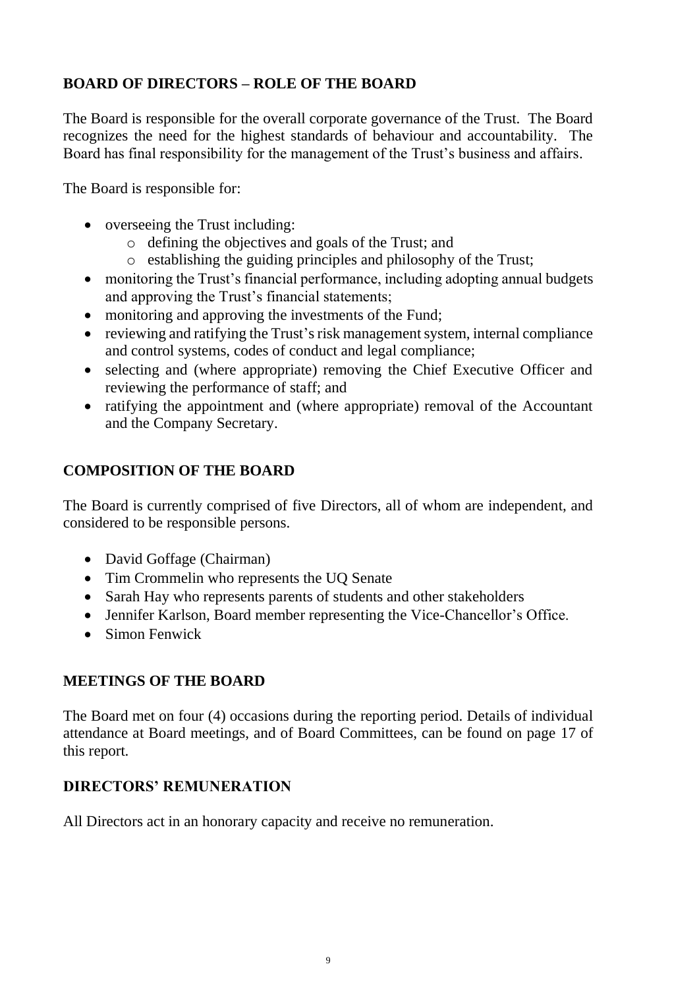# **BOARD OF DIRECTORS – ROLE OF THE BOARD**

The Board is responsible for the overall corporate governance of the Trust. The Board recognizes the need for the highest standards of behaviour and accountability. The Board has final responsibility for the management of the Trust's business and affairs.

The Board is responsible for:

- overseeing the Trust including:
	- o defining the objectives and goals of the Trust; and
	- o establishing the guiding principles and philosophy of the Trust;
- monitoring the Trust's financial performance, including adopting annual budgets and approving the Trust's financial statements;
- monitoring and approving the investments of the Fund;
- reviewing and ratifying the Trust's risk management system, internal compliance and control systems, codes of conduct and legal compliance;
- selecting and (where appropriate) removing the Chief Executive Officer and reviewing the performance of staff; and
- ratifying the appointment and (where appropriate) removal of the Accountant and the Company Secretary.

# **COMPOSITION OF THE BOARD**

The Board is currently comprised of five Directors, all of whom are independent, and considered to be responsible persons.

- David Goffage (Chairman)
- Tim Crommelin who represents the UQ Senate
- Sarah Hay who represents parents of students and other stakeholders
- Jennifer Karlson, Board member representing the Vice-Chancellor's Office.
- Simon Fenwick

# **MEETINGS OF THE BOARD**

The Board met on four (4) occasions during the reporting period. Details of individual attendance at Board meetings, and of Board Committees, can be found on page 17 of this report.

#### **DIRECTORS' REMUNERATION**

All Directors act in an honorary capacity and receive no remuneration.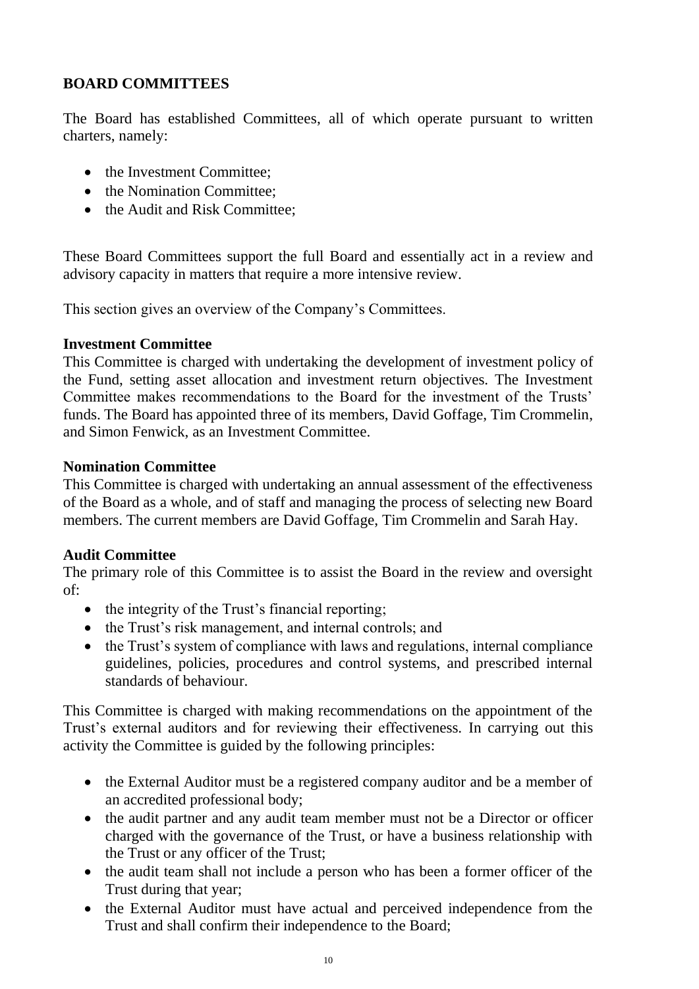# **BOARD COMMITTEES**

The Board has established Committees, all of which operate pursuant to written charters, namely:

- the Investment Committee:
- the Nomination Committee:
- the Audit and Risk Committee;

These Board Committees support the full Board and essentially act in a review and advisory capacity in matters that require a more intensive review.

This section gives an overview of the Company's Committees.

#### **Investment Committee**

This Committee is charged with undertaking the development of investment policy of the Fund, setting asset allocation and investment return objectives. The Investment Committee makes recommendations to the Board for the investment of the Trusts' funds. The Board has appointed three of its members, David Goffage, Tim Crommelin, and Simon Fenwick, as an Investment Committee.

#### **Nomination Committee**

This Committee is charged with undertaking an annual assessment of the effectiveness of the Board as a whole, and of staff and managing the process of selecting new Board members. The current members are David Goffage, Tim Crommelin and Sarah Hay.

#### **Audit Committee**

The primary role of this Committee is to assist the Board in the review and oversight of:

- the integrity of the Trust's financial reporting;
- the Trust's risk management, and internal controls; and
- the Trust's system of compliance with laws and regulations, internal compliance guidelines, policies, procedures and control systems, and prescribed internal standards of behaviour.

This Committee is charged with making recommendations on the appointment of the Trust's external auditors and for reviewing their effectiveness. In carrying out this activity the Committee is guided by the following principles:

- the External Auditor must be a registered company auditor and be a member of an accredited professional body;
- the audit partner and any audit team member must not be a Director or officer charged with the governance of the Trust, or have a business relationship with the Trust or any officer of the Trust;
- the audit team shall not include a person who has been a former officer of the Trust during that year;
- the External Auditor must have actual and perceived independence from the Trust and shall confirm their independence to the Board;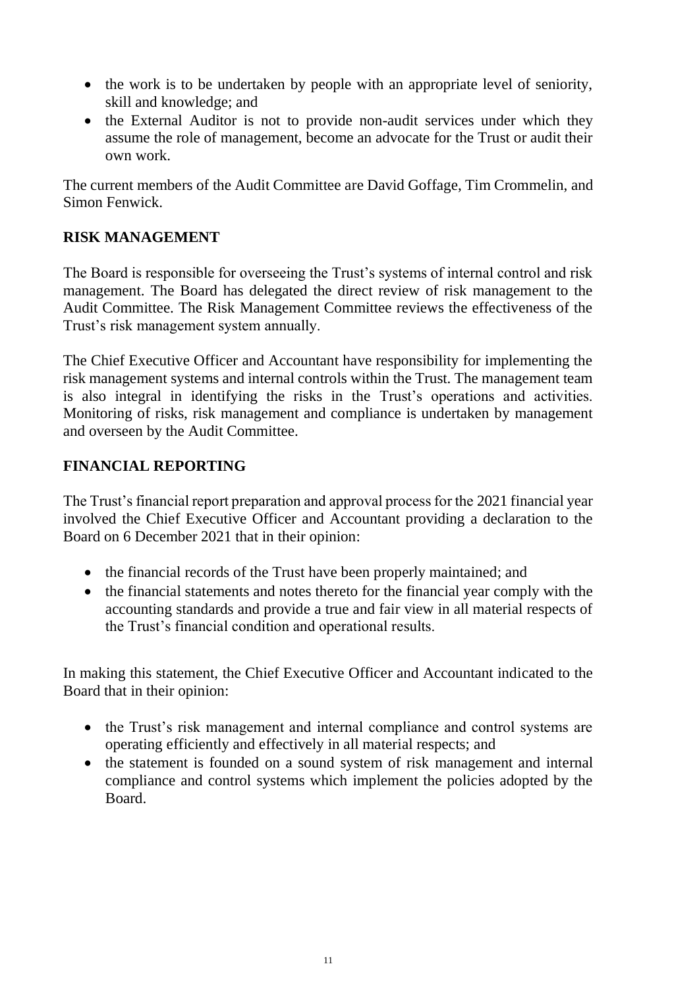- the work is to be undertaken by people with an appropriate level of seniority, skill and knowledge; and
- the External Auditor is not to provide non-audit services under which they assume the role of management, become an advocate for the Trust or audit their own work.

The current members of the Audit Committee are David Goffage, Tim Crommelin, and Simon Fenwick.

#### **RISK MANAGEMENT**

The Board is responsible for overseeing the Trust's systems of internal control and risk management. The Board has delegated the direct review of risk management to the Audit Committee. The Risk Management Committee reviews the effectiveness of the Trust's risk management system annually.

The Chief Executive Officer and Accountant have responsibility for implementing the risk management systems and internal controls within the Trust. The management team is also integral in identifying the risks in the Trust's operations and activities. Monitoring of risks, risk management and compliance is undertaken by management and overseen by the Audit Committee.

### **FINANCIAL REPORTING**

The Trust's financial report preparation and approval process for the 2021 financial year involved the Chief Executive Officer and Accountant providing a declaration to the Board on 6 December 2021 that in their opinion:

- the financial records of the Trust have been properly maintained; and
- the financial statements and notes thereto for the financial year comply with the accounting standards and provide a true and fair view in all material respects of the Trust's financial condition and operational results.

In making this statement, the Chief Executive Officer and Accountant indicated to the Board that in their opinion:

- the Trust's risk management and internal compliance and control systems are operating efficiently and effectively in all material respects; and
- the statement is founded on a sound system of risk management and internal compliance and control systems which implement the policies adopted by the Board.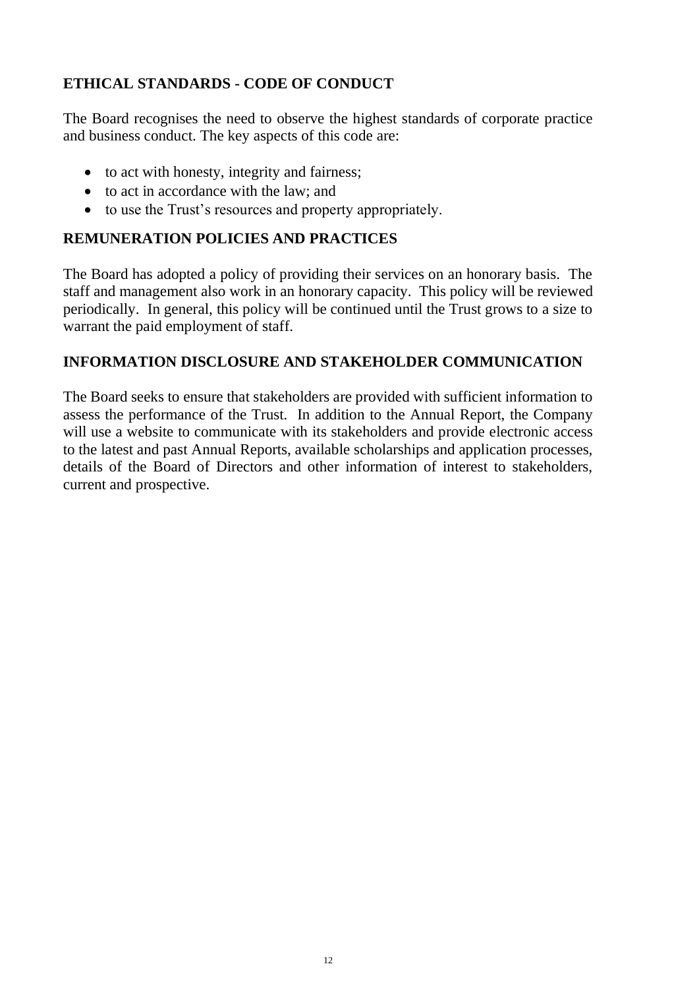# **ETHICAL STANDARDS - CODE OF CONDUCT**

The Board recognises the need to observe the highest standards of corporate practice and business conduct. The key aspects of this code are:

- to act with honesty, integrity and fairness;
- to act in accordance with the law; and
- to use the Trust's resources and property appropriately.

# **REMUNERATION POLICIES AND PRACTICES**

The Board has adopted a policy of providing their services on an honorary basis. The staff and management also work in an honorary capacity. This policy will be reviewed periodically. In general, this policy will be continued until the Trust grows to a size to warrant the paid employment of staff.

### **INFORMATION DISCLOSURE AND STAKEHOLDER COMMUNICATION**

The Board seeks to ensure that stakeholders are provided with sufficient information to assess the performance of the Trust. In addition to the Annual Report, the Company will use a website to communicate with its stakeholders and provide electronic access to the latest and past Annual Reports, available scholarships and application processes, details of the Board of Directors and other information of interest to stakeholders, current and prospective.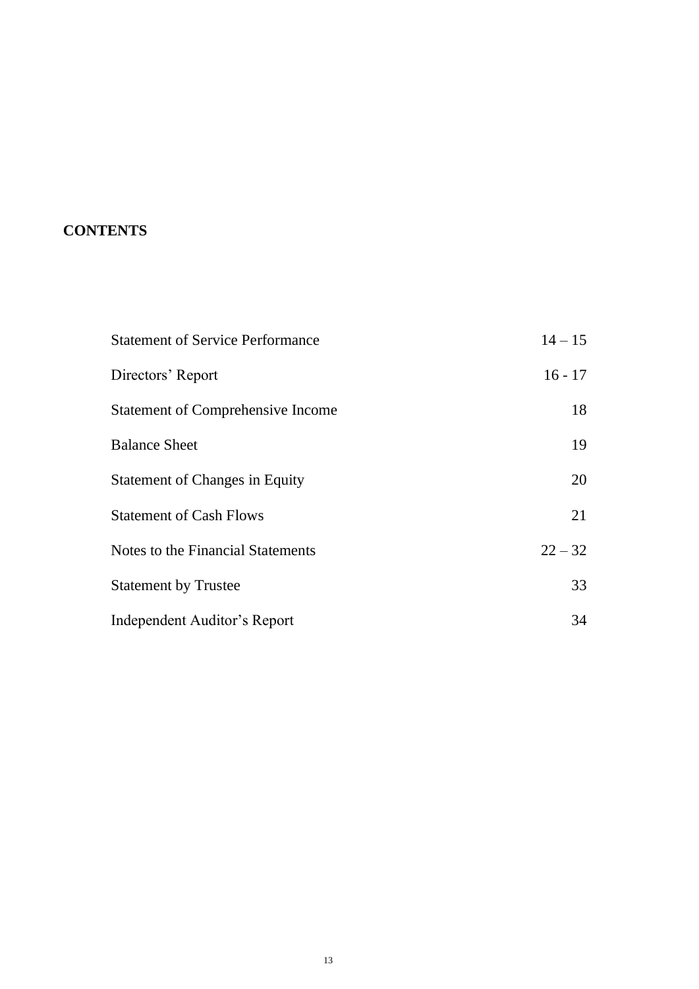# **CONTENTS**

| <b>Statement of Service Performance</b>  | $14 - 15$ |
|------------------------------------------|-----------|
| Directors' Report                        | $16 - 17$ |
| <b>Statement of Comprehensive Income</b> | 18        |
| <b>Balance Sheet</b>                     | 19        |
| <b>Statement of Changes in Equity</b>    | 20        |
| <b>Statement of Cash Flows</b>           | 21        |
| Notes to the Financial Statements        | $22 - 32$ |
| <b>Statement by Trustee</b>              | 33        |
| Independent Auditor's Report             | 34        |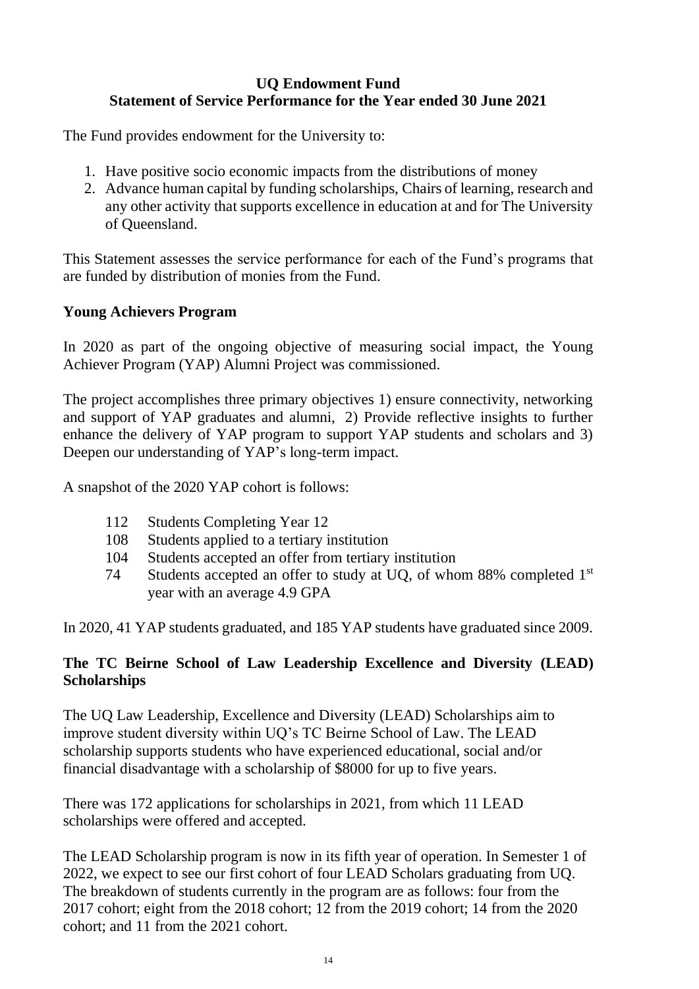### **UQ Endowment Fund Statement of Service Performance for the Year ended 30 June 2021**

The Fund provides endowment for the University to:

- 1. Have positive socio economic impacts from the distributions of money
- 2. Advance human capital by funding scholarships, Chairs of learning, research and any other activity that supports excellence in education at and for The University of Queensland.

This Statement assesses the service performance for each of the Fund's programs that are funded by distribution of monies from the Fund.

### **Young Achievers Program**

In 2020 as part of the ongoing objective of measuring social impact, the Young Achiever Program (YAP) Alumni Project was commissioned.

The project accomplishes three primary objectives 1) ensure connectivity, networking and support of YAP graduates and alumni, 2) Provide reflective insights to further enhance the delivery of YAP program to support YAP students and scholars and 3) Deepen our understanding of YAP's long-term impact.

A snapshot of the 2020 YAP cohort is follows:

- 112 Students Completing Year 12
- 108 Students applied to a tertiary institution
- 104 Students accepted an offer from tertiary institution
- 74 Students accepted an offer to study at UQ, of whom 88% completed 1<sup>st</sup> year with an average 4.9 GPA

In 2020, 41 YAP students graduated, and 185 YAP students have graduated since 2009.

### **The TC Beirne School of Law Leadership Excellence and Diversity (LEAD) Scholarships**

The UQ Law Leadership, Excellence and Diversity (LEAD) Scholarships aim to improve student diversity within UQ's TC Beirne School of Law. The LEAD scholarship supports students who have experienced educational, social and/or financial disadvantage with a scholarship of \$8000 for up to five years.

There was 172 applications for scholarships in 2021, from which 11 LEAD scholarships were offered and accepted.

The LEAD Scholarship program is now in its fifth year of operation. In Semester 1 of 2022, we expect to see our first cohort of four LEAD Scholars graduating from UQ. The breakdown of students currently in the program are as follows: four from the 2017 cohort; eight from the 2018 cohort; 12 from the 2019 cohort; 14 from the 2020 cohort; and 11 from the 2021 cohort.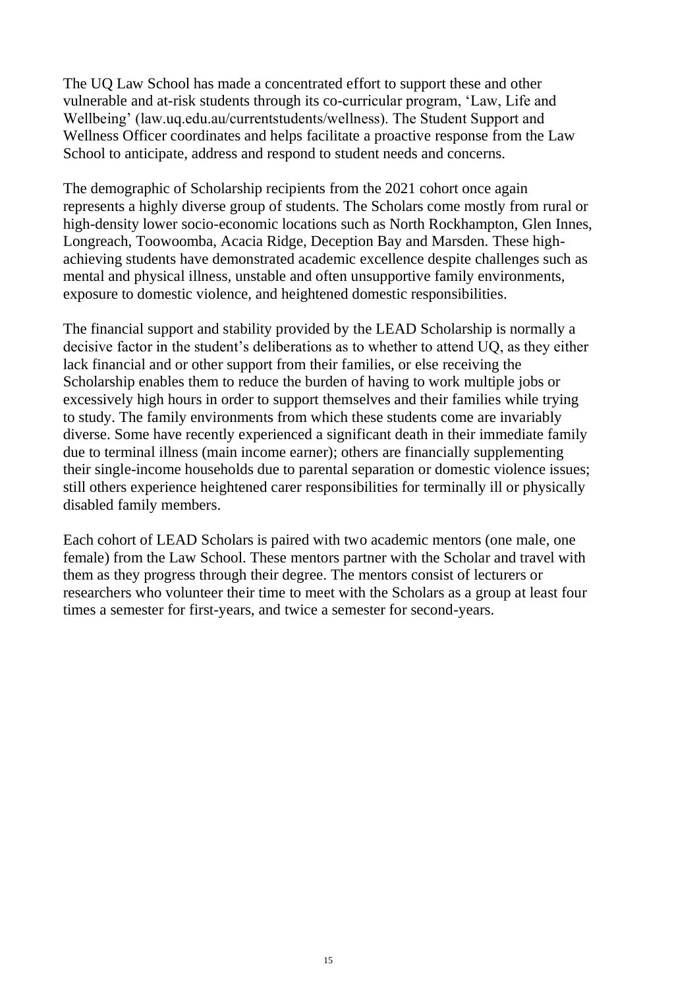The UQ Law School has made a concentrated effort to support these and other vulnerable and at-risk students through its co-curricular program, 'Law, Life and Wellbeing' (law.uq.edu.au/currentstudents/wellness). The Student Support and Wellness Officer coordinates and helps facilitate a proactive response from the Law School to anticipate, address and respond to student needs and concerns.

The demographic of Scholarship recipients from the 2021 cohort once again represents a highly diverse group of students. The Scholars come mostly from rural or high-density lower socio-economic locations such as North Rockhampton, Glen Innes, Longreach, Toowoomba, Acacia Ridge, Deception Bay and Marsden. These highachieving students have demonstrated academic excellence despite challenges such as mental and physical illness, unstable and often unsupportive family environments, exposure to domestic violence, and heightened domestic responsibilities.

The financial support and stability provided by the LEAD Scholarship is normally a decisive factor in the student's deliberations as to whether to attend UQ, as they either lack financial and or other support from their families, or else receiving the Scholarship enables them to reduce the burden of having to work multiple jobs or excessively high hours in order to support themselves and their families while trying to study. The family environments from which these students come are invariably diverse. Some have recently experienced a significant death in their immediate family due to terminal illness (main income earner); others are financially supplementing their single-income households due to parental separation or domestic violence issues; still others experience heightened carer responsibilities for terminally ill or physically disabled family members.

Each cohort of LEAD Scholars is paired with two academic mentors (one male, one female) from the Law School. These mentors partner with the Scholar and travel with them as they progress through their degree. The mentors consist of lecturers or researchers who volunteer their time to meet with the Scholars as a group at least four times a semester for first-years, and twice a semester for second-years.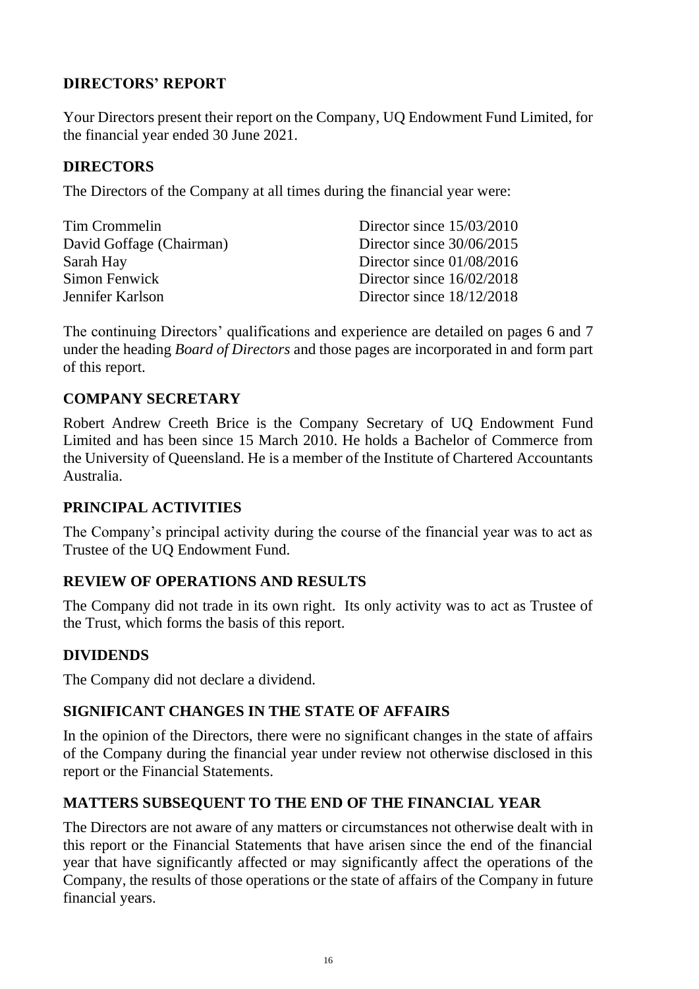# **DIRECTORS' REPORT**

Your Directors present their report on the Company, UQ Endowment Fund Limited, for the financial year ended 30 June 2021.

### **DIRECTORS**

The Directors of the Company at all times during the financial year were:

| Director since $15/03/2010$ |
|-----------------------------|
| Director since 30/06/2015   |
| Director since $01/08/2016$ |
| Director since 16/02/2018   |
| Director since $18/12/2018$ |
|                             |

The continuing Directors' qualifications and experience are detailed on pages 6 and 7 under the heading *Board of Directors* and those pages are incorporated in and form part of this report.

### **COMPANY SECRETARY**

Robert Andrew Creeth Brice is the Company Secretary of UQ Endowment Fund Limited and has been since 15 March 2010. He holds a Bachelor of Commerce from the University of Queensland. He is a member of the Institute of Chartered Accountants Australia.

#### **PRINCIPAL ACTIVITIES**

The Company's principal activity during the course of the financial year was to act as Trustee of the UQ Endowment Fund.

#### **REVIEW OF OPERATIONS AND RESULTS**

The Company did not trade in its own right. Its only activity was to act as Trustee of the Trust, which forms the basis of this report.

#### **DIVIDENDS**

The Company did not declare a dividend.

#### **SIGNIFICANT CHANGES IN THE STATE OF AFFAIRS**

In the opinion of the Directors, there were no significant changes in the state of affairs of the Company during the financial year under review not otherwise disclosed in this report or the Financial Statements.

#### **MATTERS SUBSEQUENT TO THE END OF THE FINANCIAL YEAR**

The Directors are not aware of any matters or circumstances not otherwise dealt with in this report or the Financial Statements that have arisen since the end of the financial year that have significantly affected or may significantly affect the operations of the Company, the results of those operations or the state of affairs of the Company in future financial years.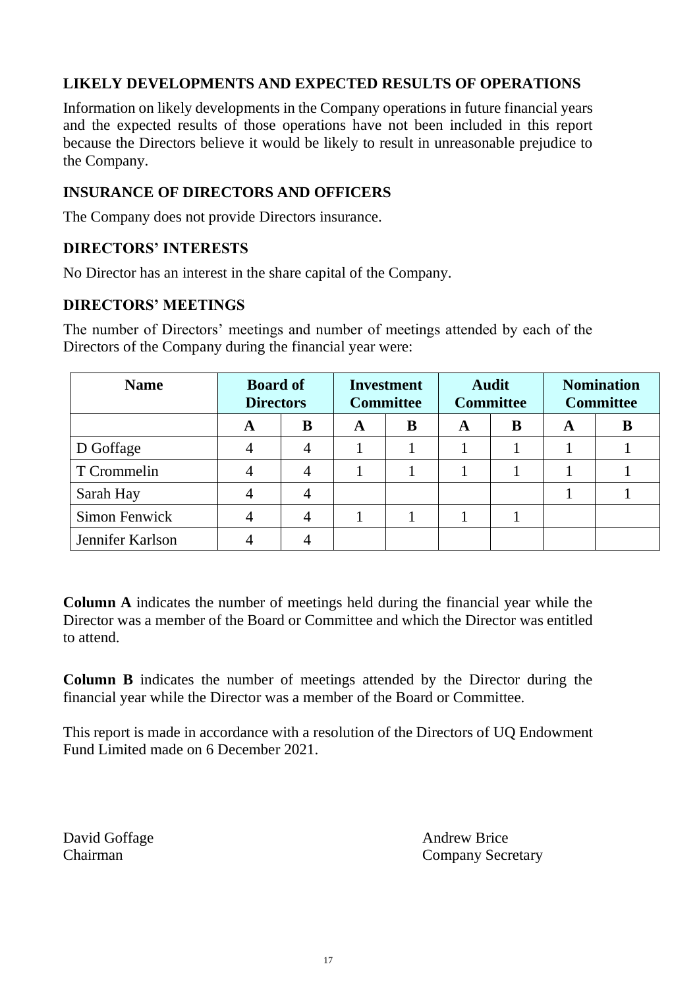# **LIKELY DEVELOPMENTS AND EXPECTED RESULTS OF OPERATIONS**

Information on likely developments in the Company operations in future financial years and the expected results of those operations have not been included in this report because the Directors believe it would be likely to result in unreasonable prejudice to the Company.

#### **INSURANCE OF DIRECTORS AND OFFICERS**

The Company does not provide Directors insurance.

#### **DIRECTORS' INTERESTS**

No Director has an interest in the share capital of the Company.

#### **DIRECTORS' MEETINGS**

The number of Directors' meetings and number of meetings attended by each of the Directors of the Company during the financial year were:

| <b>Name</b>          | <b>Board of</b><br><b>Directors</b> |   |   | <b>Investment</b><br><b>Committee</b> |   | <b>Audit</b><br><b>Committee</b> |   | <b>Nomination</b><br><b>Committee</b> |
|----------------------|-------------------------------------|---|---|---------------------------------------|---|----------------------------------|---|---------------------------------------|
|                      | A                                   | В | A | B                                     | A | B                                | A |                                       |
| D Goffage            |                                     |   |   |                                       |   |                                  |   |                                       |
| T Crommelin          |                                     |   |   |                                       |   |                                  |   |                                       |
| Sarah Hay            |                                     |   |   |                                       |   |                                  |   |                                       |
| <b>Simon Fenwick</b> |                                     |   |   |                                       |   |                                  |   |                                       |
| Jennifer Karlson     |                                     |   |   |                                       |   |                                  |   |                                       |

**Column A** indicates the number of meetings held during the financial year while the Director was a member of the Board or Committee and which the Director was entitled to attend.

**Column B** indicates the number of meetings attended by the Director during the financial year while the Director was a member of the Board or Committee.

This report is made in accordance with a resolution of the Directors of UQ Endowment Fund Limited made on 6 December 2021.

David Goffage Andrew Brice

Chairman Company Secretary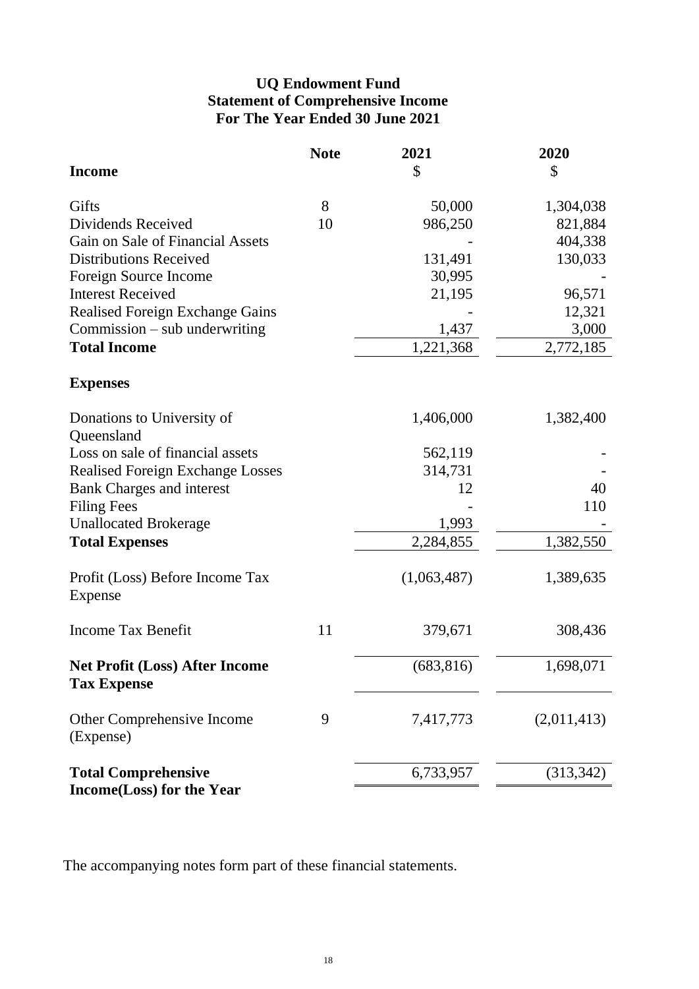## **UQ Endowment Fund Statement of Comprehensive Income For The Year Ended 30 June 2021**

|                                                             | <b>Note</b> | 2021        | 2020        |
|-------------------------------------------------------------|-------------|-------------|-------------|
| <b>Income</b>                                               |             | \$          | \$          |
| Gifts                                                       | 8           | 50,000      | 1,304,038   |
| Dividends Received                                          | 10          | 986,250     | 821,884     |
| Gain on Sale of Financial Assets                            |             |             | 404,338     |
| <b>Distributions Received</b>                               |             | 131,491     | 130,033     |
| Foreign Source Income                                       |             | 30,995      |             |
| <b>Interest Received</b>                                    |             | 21,195      | 96,571      |
| <b>Realised Foreign Exchange Gains</b>                      |             |             | 12,321      |
| $Commission - sub$ underwriting                             |             | 1,437       | 3,000       |
| <b>Total Income</b>                                         |             | 1,221,368   | 2,772,185   |
| <b>Expenses</b>                                             |             |             |             |
| Donations to University of<br>Queensland                    |             | 1,406,000   | 1,382,400   |
| Loss on sale of financial assets                            |             | 562,119     |             |
| <b>Realised Foreign Exchange Losses</b>                     |             | 314,731     |             |
| Bank Charges and interest                                   |             | 12          | 40          |
| <b>Filing Fees</b>                                          |             |             | 110         |
| <b>Unallocated Brokerage</b>                                |             | 1,993       |             |
| <b>Total Expenses</b>                                       |             | 2,284,855   | 1,382,550   |
| Profit (Loss) Before Income Tax<br>Expense                  |             | (1,063,487) | 1,389,635   |
| <b>Income Tax Benefit</b>                                   | 11          | 379,671     | 308,436     |
| <b>Net Profit (Loss) After Income</b><br><b>Tax Expense</b> |             | (683, 816)  | 1,698,071   |
| Other Comprehensive Income<br>(Expense)                     | 9           | 7,417,773   | (2,011,413) |
| <b>Total Comprehensive</b>                                  |             | 6,733,957   | (313, 342)  |
| <b>Income</b> (Loss) for the Year                           |             |             |             |

The accompanying notes form part of these financial statements.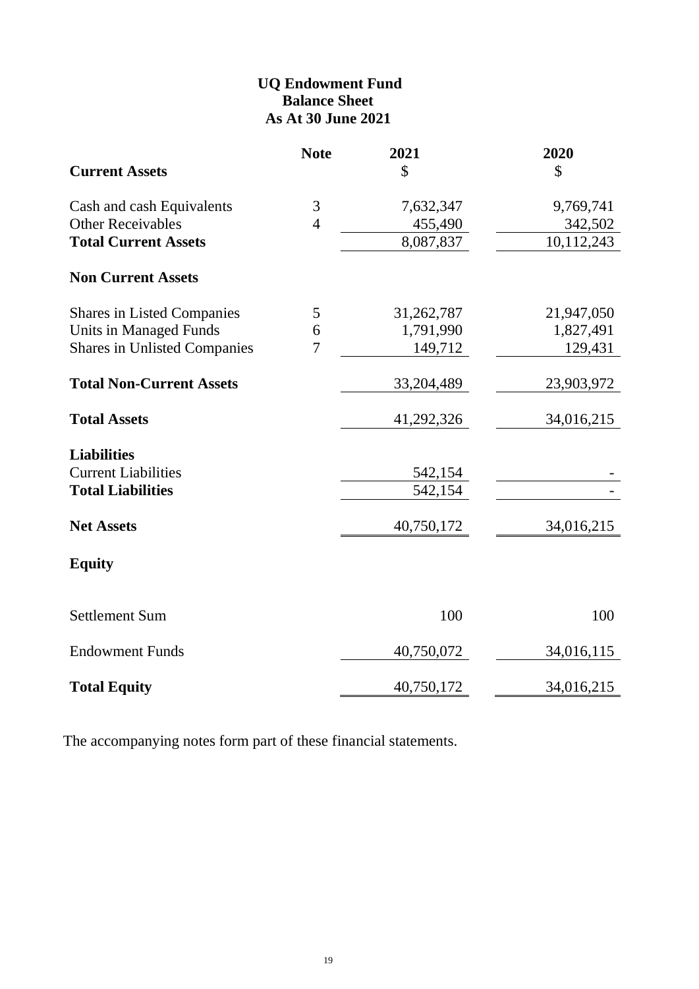### **UQ Endowment Fund Balance Sheet As At 30 June 2021**

|                                     | <b>Note</b>    | 2021       | 2020       |
|-------------------------------------|----------------|------------|------------|
| <b>Current Assets</b>               |                | \$         | \$         |
| Cash and cash Equivalents           | 3              | 7,632,347  | 9,769,741  |
| <b>Other Receivables</b>            | $\overline{4}$ | 455,490    | 342,502    |
| <b>Total Current Assets</b>         |                | 8,087,837  | 10,112,243 |
| <b>Non Current Assets</b>           |                |            |            |
| <b>Shares in Listed Companies</b>   | 5              | 31,262,787 | 21,947,050 |
| <b>Units in Managed Funds</b>       | 6              | 1,791,990  | 1,827,491  |
| <b>Shares in Unlisted Companies</b> | 7              | 149,712    | 129,431    |
| <b>Total Non-Current Assets</b>     |                | 33,204,489 | 23,903,972 |
| <b>Total Assets</b>                 |                | 41,292,326 | 34,016,215 |
| <b>Liabilities</b>                  |                |            |            |
| <b>Current Liabilities</b>          |                | 542,154    |            |
| <b>Total Liabilities</b>            |                | 542,154    |            |
| <b>Net Assets</b>                   |                | 40,750,172 | 34,016,215 |
| <b>Equity</b>                       |                |            |            |
| <b>Settlement Sum</b>               |                | 100        | 100        |
| <b>Endowment Funds</b>              |                | 40,750,072 | 34,016,115 |
| <b>Total Equity</b>                 |                | 40,750,172 | 34,016,215 |

The accompanying notes form part of these financial statements.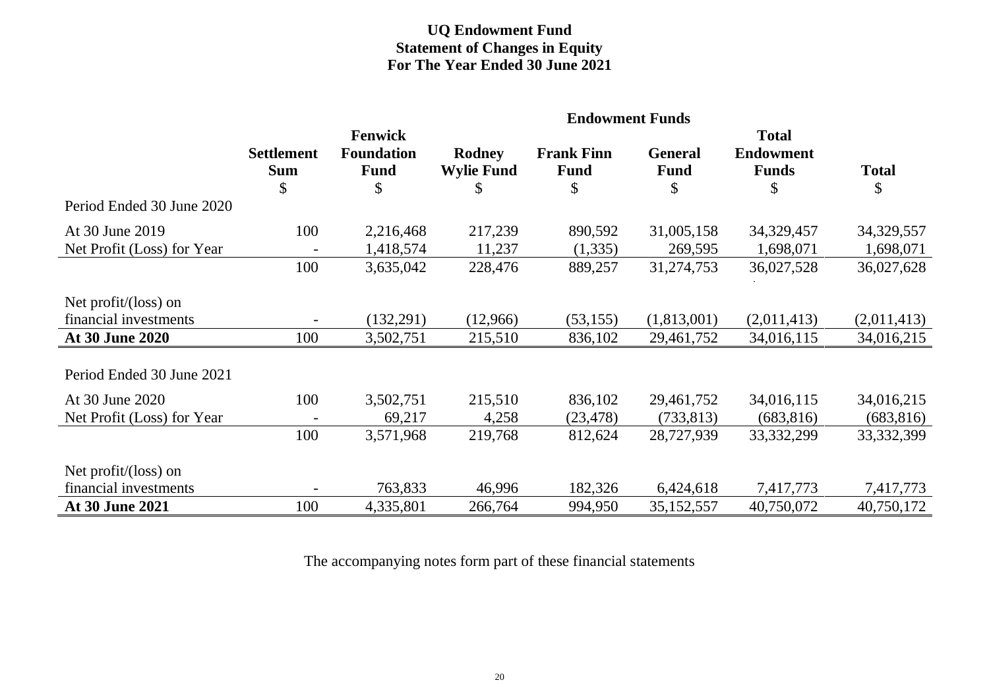## **UQ Endowment Fund Statement of Changes in Equity For The Year Ended 30 June 2021**

|                                                                                   | <b>Endowment Funds</b>                |                                                          |                                          |                                        |                                     |                                                        |                           |
|-----------------------------------------------------------------------------------|---------------------------------------|----------------------------------------------------------|------------------------------------------|----------------------------------------|-------------------------------------|--------------------------------------------------------|---------------------------|
|                                                                                   | <b>Settlement</b><br><b>Sum</b><br>\$ | <b>Fenwick</b><br><b>Foundation</b><br><b>Fund</b><br>\$ | <b>Rodney</b><br><b>Wylie Fund</b><br>\$ | <b>Frank Finn</b><br><b>Fund</b><br>\$ | <b>General</b><br><b>Fund</b><br>\$ | <b>Total</b><br><b>Endowment</b><br><b>Funds</b><br>\$ | <b>Total</b><br>\$        |
| Period Ended 30 June 2020                                                         |                                       |                                                          |                                          |                                        |                                     |                                                        |                           |
| At 30 June 2019<br>Net Profit (Loss) for Year                                     | 100                                   | 2,216,468<br>1,418,574                                   | 217,239<br>11,237                        | 890,592<br>(1,335)                     | 31,005,158<br>269,595               | 34,329,457<br>1,698,071                                | 34,329,557<br>1,698,071   |
|                                                                                   | 100                                   | 3,635,042                                                | 228,476                                  | 889,257                                | 31,274,753                          | 36,027,528                                             | 36,027,628                |
| Net profit/ $(\text{loss})$ on<br>financial investments<br><b>At 30 June 2020</b> | 100                                   | (132, 291)<br>3,502,751                                  | (12,966)<br>215,510                      | (53, 155)<br>836,102                   | (1,813,001)<br>29,461,752           | (2,011,413)<br>34,016,115                              | (2,011,413)<br>34,016,215 |
|                                                                                   |                                       |                                                          |                                          |                                        |                                     |                                                        |                           |
| Period Ended 30 June 2021                                                         |                                       |                                                          |                                          |                                        |                                     |                                                        |                           |
| At 30 June 2020<br>Net Profit (Loss) for Year                                     | 100                                   | 3,502,751<br>69,217                                      | 215,510<br>4,258                         | 836,102<br>(23, 478)                   | 29,461,752<br>(733, 813)            | 34,016,115<br>(683, 816)                               | 34,016,215<br>(683, 816)  |
|                                                                                   | 100                                   | 3,571,968                                                | 219,768                                  | 812,624                                | 28,727,939                          | 33, 332, 299                                           | 33, 332, 399              |
| Net profit/(loss) on<br>financial investments                                     |                                       | 763,833                                                  | 46,996                                   | 182,326                                | 6,424,618                           | 7,417,773                                              | 7,417,773                 |
| At 30 June 2021                                                                   | 100                                   | 4,335,801                                                | 266,764                                  | 994,950                                | 35,152,557                          | 40,750,072                                             | 40,750,172                |

The accompanying notes form part of these financial statements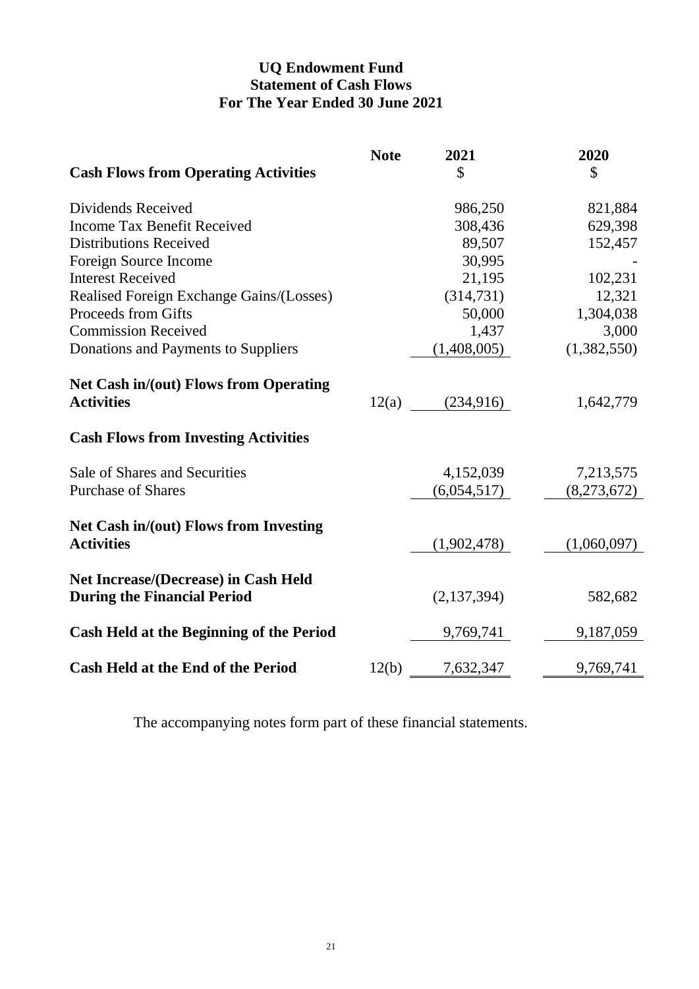### **UQ Endowment Fund Statement of Cash Flows For The Year Ended 30 June 2021**

|                                                                                   | <b>Note</b> | 2021                | 2020          |
|-----------------------------------------------------------------------------------|-------------|---------------------|---------------|
| <b>Cash Flows from Operating Activities</b>                                       |             | $\mathcal{S}$       | $\mathcal{S}$ |
| Dividends Received                                                                |             | 986,250             | 821,884       |
| <b>Income Tax Benefit Received</b>                                                |             | 308,436             | 629,398       |
| <b>Distributions Received</b>                                                     |             | 89,507              | 152,457       |
| Foreign Source Income                                                             |             | 30,995              |               |
| <b>Interest Received</b>                                                          |             | 21,195              | 102,231       |
| Realised Foreign Exchange Gains/(Losses)                                          |             | (314, 731)          | 12,321        |
| Proceeds from Gifts                                                               |             | 50,000              | 1,304,038     |
| <b>Commission Received</b>                                                        |             | 1,437               | 3,000         |
| Donations and Payments to Suppliers                                               |             | (1,408,005)         | (1,382,550)   |
| Net Cash in/(out) Flows from Operating<br><b>Activities</b>                       |             | $12(a)$ $(234,916)$ | 1,642,779     |
| <b>Cash Flows from Investing Activities</b>                                       |             |                     |               |
| Sale of Shares and Securities                                                     |             | 4,152,039           | 7,213,575     |
| <b>Purchase of Shares</b>                                                         |             | (6,054,517)         | (8,273,672)   |
| <b>Net Cash in/(out) Flows from Investing</b><br><b>Activities</b>                |             | (1,902,478)         | (1,060,097)   |
|                                                                                   |             |                     |               |
| <b>Net Increase/(Decrease) in Cash Held</b><br><b>During the Financial Period</b> |             | (2,137,394)         | 582,682       |
| <b>Cash Held at the Beginning of the Period</b>                                   |             | 9,769,741           | 9,187,059     |
| <b>Cash Held at the End of the Period</b>                                         | 12(b)       | 7,632,347           | 9,769,741     |

The accompanying notes form part of these financial statements.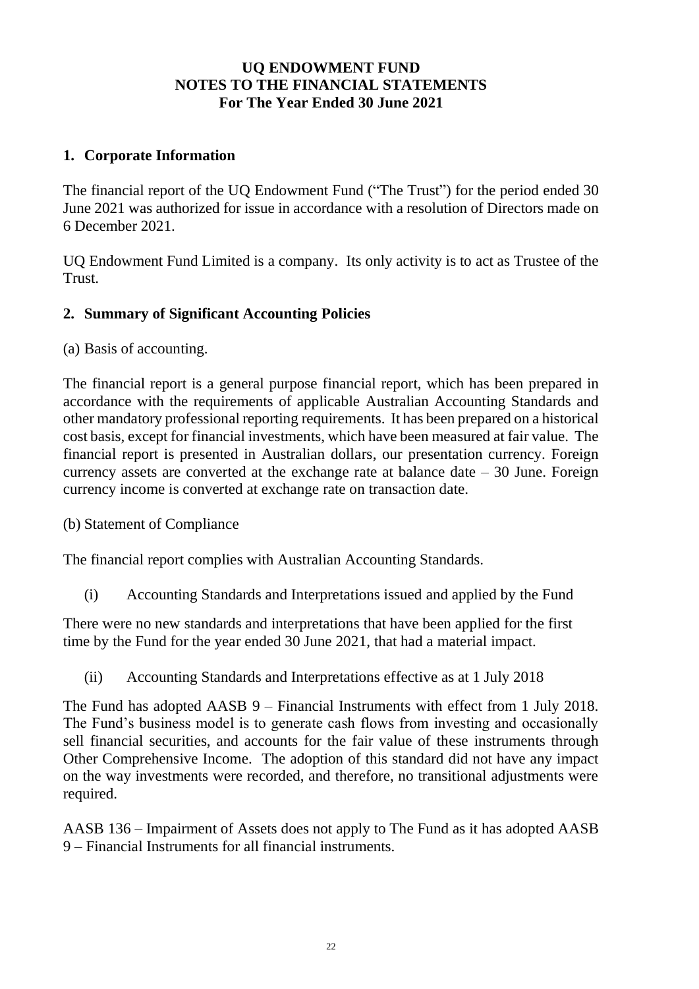### **1. Corporate Information**

The financial report of the UQ Endowment Fund ("The Trust") for the period ended 30 June 2021 was authorized for issue in accordance with a resolution of Directors made on 6 December 2021.

UQ Endowment Fund Limited is a company. Its only activity is to act as Trustee of the Trust.

# **2. Summary of Significant Accounting Policies**

(a) Basis of accounting.

The financial report is a general purpose financial report, which has been prepared in accordance with the requirements of applicable Australian Accounting Standards and other mandatory professional reporting requirements. It has been prepared on a historical cost basis, except for financial investments, which have been measured at fair value. The financial report is presented in Australian dollars, our presentation currency. Foreign currency assets are converted at the exchange rate at balance date – 30 June. Foreign currency income is converted at exchange rate on transaction date.

(b) Statement of Compliance

The financial report complies with Australian Accounting Standards.

(i) Accounting Standards and Interpretations issued and applied by the Fund

There were no new standards and interpretations that have been applied for the first time by the Fund for the year ended 30 June 2021, that had a material impact.

(ii) Accounting Standards and Interpretations effective as at 1 July 2018

The Fund has adopted AASB 9 – Financial Instruments with effect from 1 July 2018. The Fund's business model is to generate cash flows from investing and occasionally sell financial securities, and accounts for the fair value of these instruments through Other Comprehensive Income. The adoption of this standard did not have any impact on the way investments were recorded, and therefore, no transitional adjustments were required.

AASB 136 – Impairment of Assets does not apply to The Fund as it has adopted AASB 9 – Financial Instruments for all financial instruments.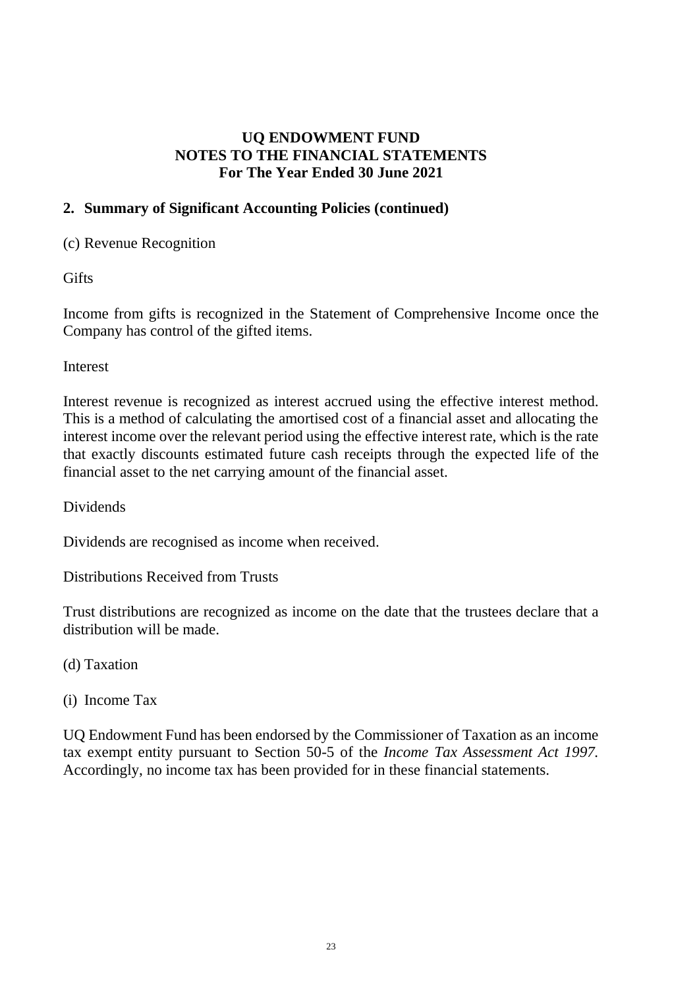### **2. Summary of Significant Accounting Policies (continued)**

(c) Revenue Recognition

**Gifts** 

Income from gifts is recognized in the Statement of Comprehensive Income once the Company has control of the gifted items.

Interest

Interest revenue is recognized as interest accrued using the effective interest method. This is a method of calculating the amortised cost of a financial asset and allocating the interest income over the relevant period using the effective interest rate, which is the rate that exactly discounts estimated future cash receipts through the expected life of the financial asset to the net carrying amount of the financial asset.

Dividends

Dividends are recognised as income when received.

Distributions Received from Trusts

Trust distributions are recognized as income on the date that the trustees declare that a distribution will be made.

(d) Taxation

(i) Income Tax

UQ Endowment Fund has been endorsed by the Commissioner of Taxation as an income tax exempt entity pursuant to Section 50-5 of the *Income Tax Assessment Act 1997.* Accordingly, no income tax has been provided for in these financial statements.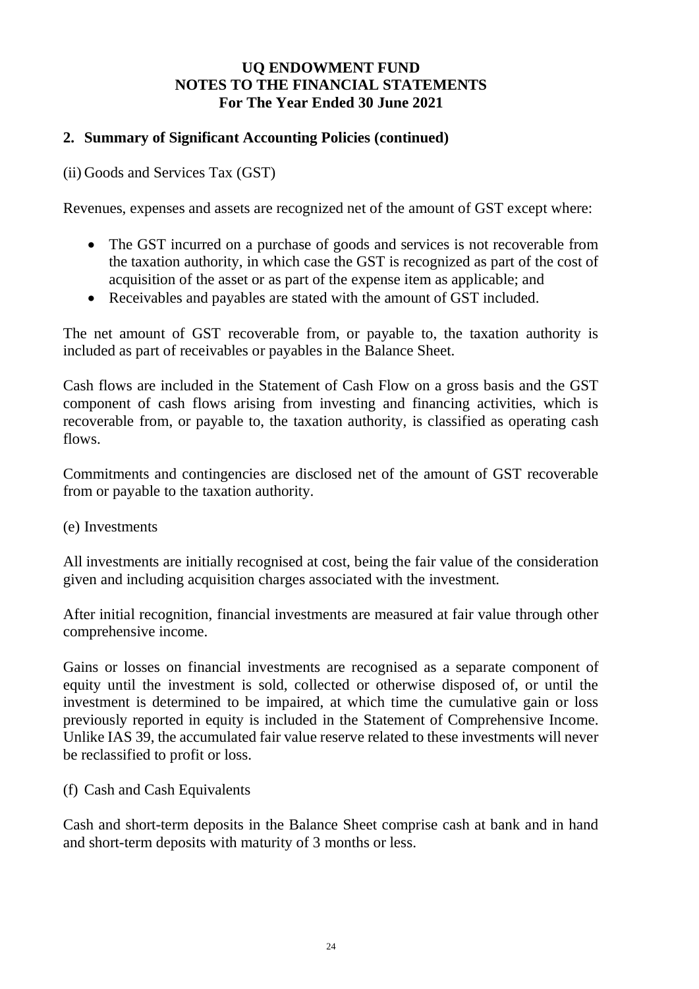#### **2. Summary of Significant Accounting Policies (continued)**

(ii) Goods and Services Tax (GST)

Revenues, expenses and assets are recognized net of the amount of GST except where:

- The GST incurred on a purchase of goods and services is not recoverable from the taxation authority, in which case the GST is recognized as part of the cost of acquisition of the asset or as part of the expense item as applicable; and
- Receivables and payables are stated with the amount of GST included.

The net amount of GST recoverable from, or payable to, the taxation authority is included as part of receivables or payables in the Balance Sheet.

Cash flows are included in the Statement of Cash Flow on a gross basis and the GST component of cash flows arising from investing and financing activities, which is recoverable from, or payable to, the taxation authority, is classified as operating cash flows.

Commitments and contingencies are disclosed net of the amount of GST recoverable from or payable to the taxation authority.

(e) Investments

All investments are initially recognised at cost, being the fair value of the consideration given and including acquisition charges associated with the investment.

After initial recognition, financial investments are measured at fair value through other comprehensive income.

Gains or losses on financial investments are recognised as a separate component of equity until the investment is sold, collected or otherwise disposed of, or until the investment is determined to be impaired, at which time the cumulative gain or loss previously reported in equity is included in the Statement of Comprehensive Income. Unlike IAS 39, the accumulated fair value reserve related to these investments will never be reclassified to profit or loss.

#### (f) Cash and Cash Equivalents

Cash and short-term deposits in the Balance Sheet comprise cash at bank and in hand and short-term deposits with maturity of 3 months or less.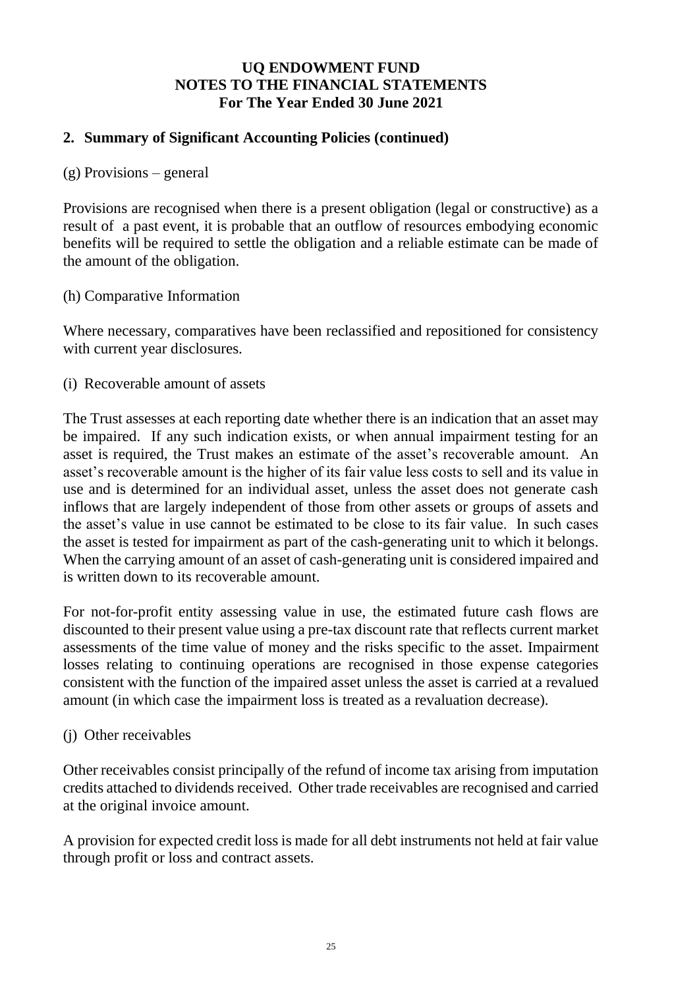### **2. Summary of Significant Accounting Policies (continued)**

(g) Provisions – general

Provisions are recognised when there is a present obligation (legal or constructive) as a result of a past event, it is probable that an outflow of resources embodying economic benefits will be required to settle the obligation and a reliable estimate can be made of the amount of the obligation.

(h) Comparative Information

Where necessary, comparatives have been reclassified and repositioned for consistency with current year disclosures.

(i) Recoverable amount of assets

The Trust assesses at each reporting date whether there is an indication that an asset may be impaired. If any such indication exists, or when annual impairment testing for an asset is required, the Trust makes an estimate of the asset's recoverable amount. An asset's recoverable amount is the higher of its fair value less costs to sell and its value in use and is determined for an individual asset, unless the asset does not generate cash inflows that are largely independent of those from other assets or groups of assets and the asset's value in use cannot be estimated to be close to its fair value. In such cases the asset is tested for impairment as part of the cash-generating unit to which it belongs. When the carrying amount of an asset of cash-generating unit is considered impaired and is written down to its recoverable amount.

For not-for-profit entity assessing value in use, the estimated future cash flows are discounted to their present value using a pre-tax discount rate that reflects current market assessments of the time value of money and the risks specific to the asset. Impairment losses relating to continuing operations are recognised in those expense categories consistent with the function of the impaired asset unless the asset is carried at a revalued amount (in which case the impairment loss is treated as a revaluation decrease).

(j) Other receivables

Other receivables consist principally of the refund of income tax arising from imputation credits attached to dividends received. Other trade receivables are recognised and carried at the original invoice amount.

A provision for expected credit loss is made for all debt instruments not held at fair value through profit or loss and contract assets.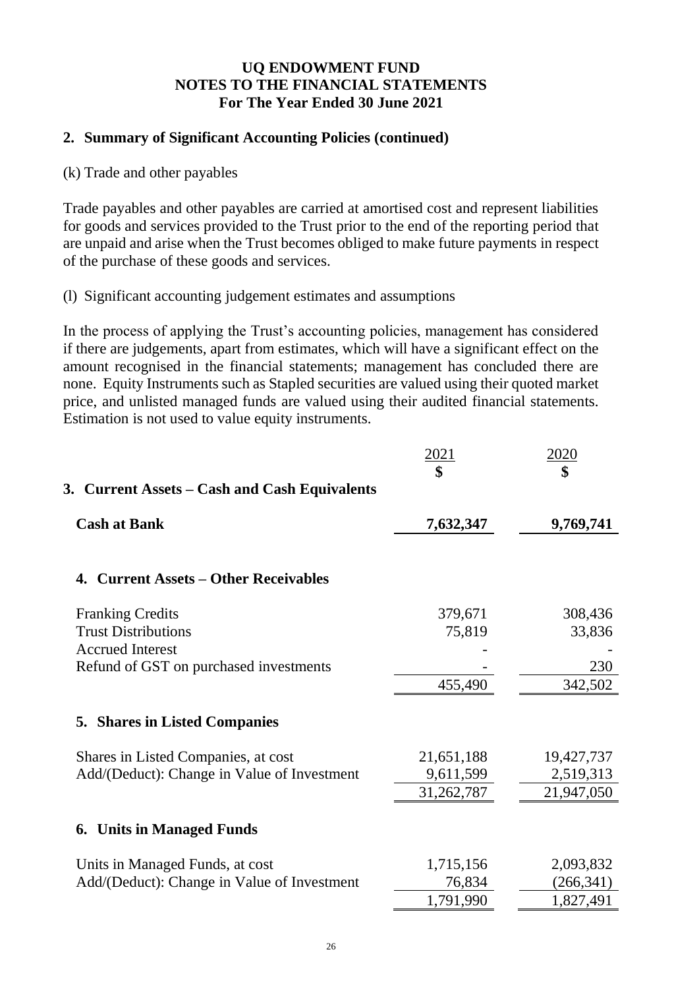#### **2. Summary of Significant Accounting Policies (continued)**

(k) Trade and other payables

Trade payables and other payables are carried at amortised cost and represent liabilities for goods and services provided to the Trust prior to the end of the reporting period that are unpaid and arise when the Trust becomes obliged to make future payments in respect of the purchase of these goods and services.

(l) Significant accounting judgement estimates and assumptions

In the process of applying the Trust's accounting policies, management has considered if there are judgements, apart from estimates, which will have a significant effect on the amount recognised in the financial statements; management has concluded there are none. Equity Instruments such as Stapled securities are valued using their quoted market price, and unlisted managed funds are valued using their audited financial statements. Estimation is not used to value equity instruments.

|                                                                                    | 2021<br>\$                            | 2020<br>\$                            |
|------------------------------------------------------------------------------------|---------------------------------------|---------------------------------------|
| 3. Current Assets – Cash and Cash Equivalents                                      |                                       |                                       |
| <b>Cash at Bank</b>                                                                | 7,632,347                             | 9,769,741                             |
| 4. Current Assets – Other Receivables                                              |                                       |                                       |
| <b>Franking Credits</b><br><b>Trust Distributions</b>                              | 379,671<br>75,819                     | 308,436<br>33,836                     |
| <b>Accrued Interest</b><br>Refund of GST on purchased investments                  | 455,490                               | 230<br>342,502                        |
| 5. Shares in Listed Companies                                                      |                                       |                                       |
| Shares in Listed Companies, at cost<br>Add/(Deduct): Change in Value of Investment | 21,651,188<br>9,611,599<br>31,262,787 | 19,427,737<br>2,519,313<br>21,947,050 |
| <b>6. Units in Managed Funds</b>                                                   |                                       |                                       |
| Units in Managed Funds, at cost<br>Add/(Deduct): Change in Value of Investment     | 1,715,156<br>76,834<br>1,791,990      | 2,093,832<br>(266,341)<br>1,827,491   |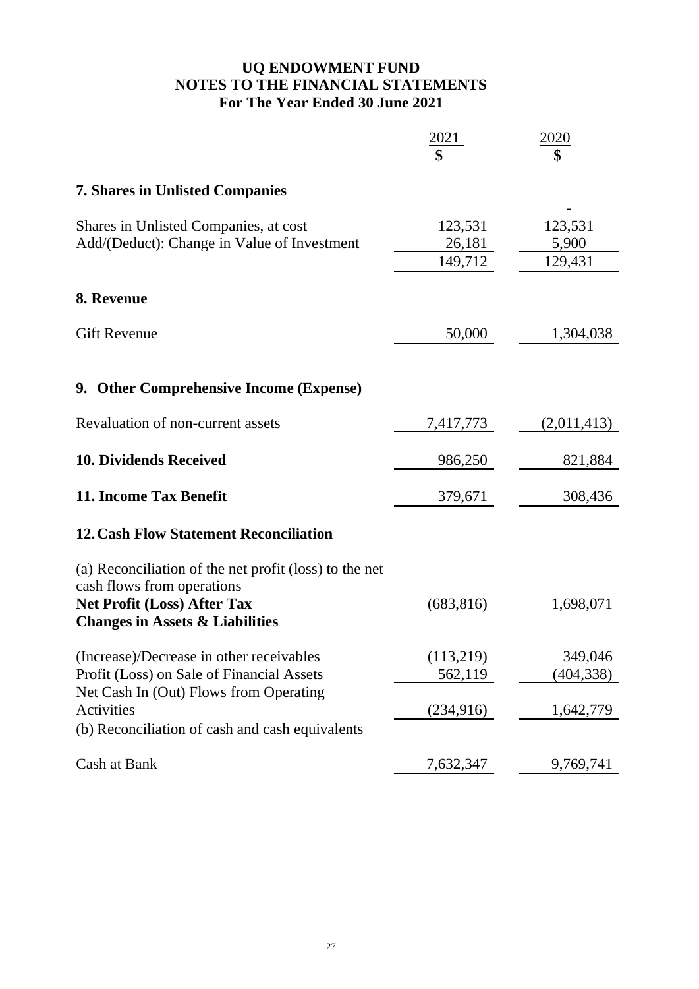|                                                                                                                                                                          | 2021                         | 2020<br>\$                  |
|--------------------------------------------------------------------------------------------------------------------------------------------------------------------------|------------------------------|-----------------------------|
| <b>7. Shares in Unlisted Companies</b>                                                                                                                                   |                              |                             |
| Shares in Unlisted Companies, at cost<br>Add/(Deduct): Change in Value of Investment                                                                                     | 123,531<br>26,181<br>149,712 | 123,531<br>5,900<br>129,431 |
| 8. Revenue                                                                                                                                                               |                              |                             |
| <b>Gift Revenue</b>                                                                                                                                                      | 50,000                       | 1,304,038                   |
| 9. Other Comprehensive Income (Expense)                                                                                                                                  |                              |                             |
| Revaluation of non-current assets                                                                                                                                        | 7,417,773                    | (2,011,413)                 |
| <b>10. Dividends Received</b>                                                                                                                                            | 986,250                      | 821,884                     |
| 11. Income Tax Benefit                                                                                                                                                   | 379,671                      | 308,436                     |
| <b>12. Cash Flow Statement Reconciliation</b>                                                                                                                            |                              |                             |
| (a) Reconciliation of the net profit (loss) to the net<br>cash flows from operations<br><b>Net Profit (Loss) After Tax</b><br><b>Changes in Assets &amp; Liabilities</b> | (683, 816)                   | 1,698,071                   |
| (Increase)/Decrease in other receivables<br>Profit (Loss) on Sale of Financial Assets                                                                                    | (113,219)<br>562,119         | 349,046<br>(404, 338)       |
| Net Cash In (Out) Flows from Operating<br>Activities<br>(b) Reconciliation of cash and cash equivalents                                                                  | (234, 916)                   | 1,642,779                   |
| Cash at Bank                                                                                                                                                             | 7,632,347                    | 9,769,741                   |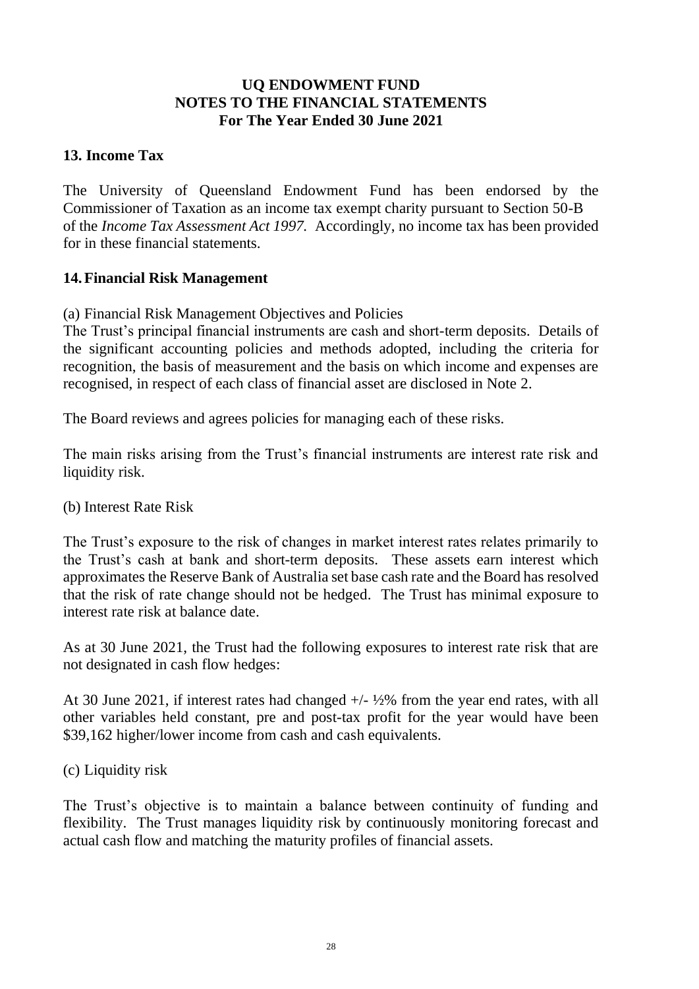### **13. Income Tax**

The University of Queensland Endowment Fund has been endorsed by the Commissioner of Taxation as an income tax exempt charity pursuant to Section 50-B of the *Income Tax Assessment Act 1997.* Accordingly, no income tax has been provided for in these financial statements.

#### **14.Financial Risk Management**

(a) Financial Risk Management Objectives and Policies

The Trust's principal financial instruments are cash and short-term deposits. Details of the significant accounting policies and methods adopted, including the criteria for recognition, the basis of measurement and the basis on which income and expenses are recognised, in respect of each class of financial asset are disclosed in Note 2.

The Board reviews and agrees policies for managing each of these risks.

The main risks arising from the Trust's financial instruments are interest rate risk and liquidity risk.

#### (b) Interest Rate Risk

The Trust's exposure to the risk of changes in market interest rates relates primarily to the Trust's cash at bank and short-term deposits. These assets earn interest which approximates the Reserve Bank of Australia set base cash rate and the Board has resolved that the risk of rate change should not be hedged. The Trust has minimal exposure to interest rate risk at balance date.

As at 30 June 2021, the Trust had the following exposures to interest rate risk that are not designated in cash flow hedges:

At 30 June 2021, if interest rates had changed +/- ½% from the year end rates, with all other variables held constant, pre and post-tax profit for the year would have been \$39,162 higher/lower income from cash and cash equivalents.

#### (c) Liquidity risk

The Trust's objective is to maintain a balance between continuity of funding and flexibility. The Trust manages liquidity risk by continuously monitoring forecast and actual cash flow and matching the maturity profiles of financial assets.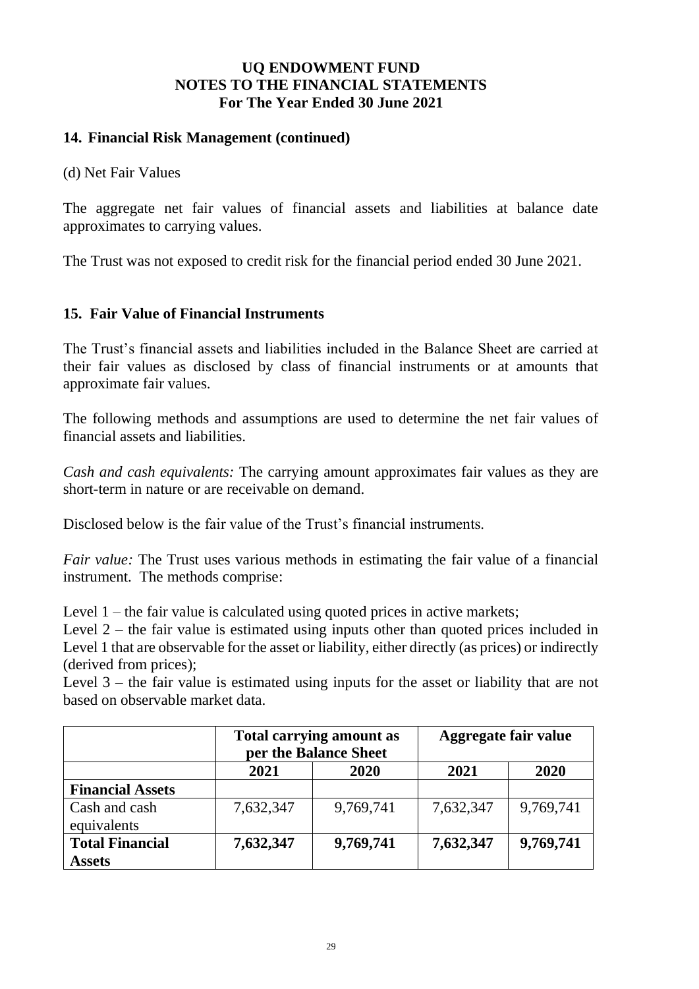### **14. Financial Risk Management (continued)**

#### (d) Net Fair Values

The aggregate net fair values of financial assets and liabilities at balance date approximates to carrying values.

The Trust was not exposed to credit risk for the financial period ended 30 June 2021.

#### **15. Fair Value of Financial Instruments**

The Trust's financial assets and liabilities included in the Balance Sheet are carried at their fair values as disclosed by class of financial instruments or at amounts that approximate fair values.

The following methods and assumptions are used to determine the net fair values of financial assets and liabilities.

*Cash and cash equivalents:* The carrying amount approximates fair values as they are short-term in nature or are receivable on demand.

Disclosed below is the fair value of the Trust's financial instruments.

*Fair value:* The Trust uses various methods in estimating the fair value of a financial instrument. The methods comprise:

Level  $1$  – the fair value is calculated using quoted prices in active markets;

Level 2 – the fair value is estimated using inputs other than quoted prices included in Level 1 that are observable for the asset or liability, either directly (as prices) or indirectly (derived from prices);

Level 3 – the fair value is estimated using inputs for the asset or liability that are not based on observable market data.

|                         |           | <b>Total carrying amount as</b><br>per the Balance Sheet | <b>Aggregate fair value</b> |           |
|-------------------------|-----------|----------------------------------------------------------|-----------------------------|-----------|
|                         | 2021      | 2020                                                     | 2021                        | 2020      |
| <b>Financial Assets</b> |           |                                                          |                             |           |
| Cash and cash           | 7,632,347 | 9,769,741                                                | 7,632,347                   | 9,769,741 |
| equivalents             |           |                                                          |                             |           |
| <b>Total Financial</b>  | 7,632,347 | 9,769,741                                                | 7,632,347                   | 9,769,741 |
| <b>Assets</b>           |           |                                                          |                             |           |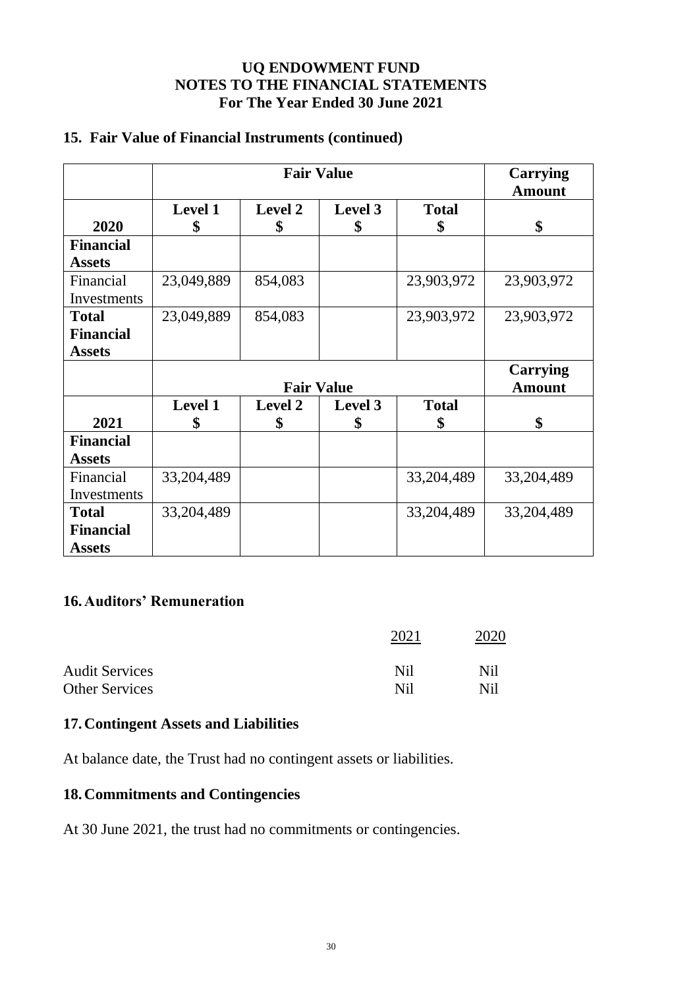# **15. Fair Value of Financial Instruments (continued)**

|                  | <b>Fair Value</b> |                |                   |              | Carrying<br><b>Amount</b> |
|------------------|-------------------|----------------|-------------------|--------------|---------------------------|
|                  | <b>Level 1</b>    | Level 2        | Level 3           | <b>Total</b> |                           |
| 2020             | \$                | \$             | \$                | \$           | \$                        |
| <b>Financial</b> |                   |                |                   |              |                           |
| <b>Assets</b>    |                   |                |                   |              |                           |
| Financial        | 23,049,889        | 854,083        |                   | 23,903,972   | 23,903,972                |
| Investments      |                   |                |                   |              |                           |
| <b>Total</b>     | 23,049,889        | 854,083        |                   | 23,903,972   | 23,903,972                |
| <b>Financial</b> |                   |                |                   |              |                           |
| <b>Assets</b>    |                   |                |                   |              |                           |
|                  |                   |                |                   |              |                           |
|                  |                   |                |                   |              | Carrying                  |
|                  |                   |                | <b>Fair Value</b> |              | <b>Amount</b>             |
|                  | Level 1           | <b>Level 2</b> | Level 3           | <b>Total</b> |                           |
| 2021             | \$                | \$             | \$                | \$           | \$                        |
| <b>Financial</b> |                   |                |                   |              |                           |
| <b>Assets</b>    |                   |                |                   |              |                           |
| Financial        | 33,204,489        |                |                   | 33,204,489   | 33,204,489                |
| Investments      |                   |                |                   |              |                           |
| <b>Total</b>     | 33,204,489        |                |                   | 33,204,489   | 33,204,489                |
| <b>Financial</b> |                   |                |                   |              |                           |

# **16.Auditors' Remuneration**

|                       | 2021            | 2020            |
|-----------------------|-----------------|-----------------|
| <b>Audit Services</b> | N <sub>il</sub> | Nil             |
| <b>Other Services</b> | N <sub>il</sub> | N <sub>il</sub> |

### **17.Contingent Assets and Liabilities**

At balance date, the Trust had no contingent assets or liabilities.

# **18.Commitments and Contingencies**

At 30 June 2021, the trust had no commitments or contingencies.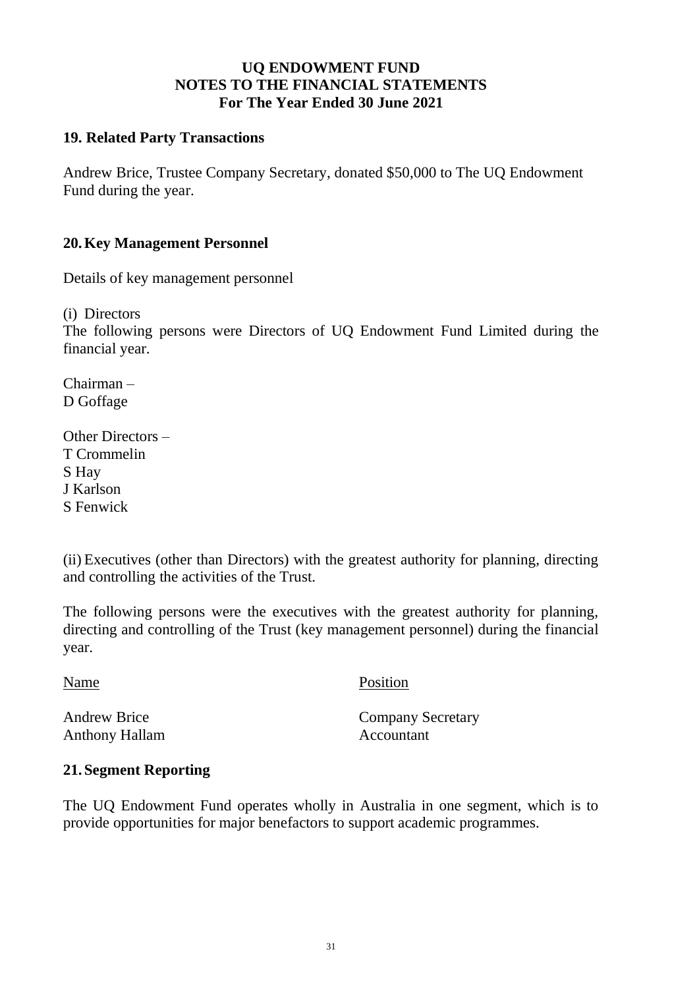#### **19. Related Party Transactions**

Andrew Brice, Trustee Company Secretary, donated \$50,000 to The UQ Endowment Fund during the year.

#### **20.Key Management Personnel**

Details of key management personnel

(i) Directors

The following persons were Directors of UQ Endowment Fund Limited during the financial year.

Chairman – D Goffage

Other Directors – T Crommelin S Hay J Karlson S Fenwick

(ii) Executives (other than Directors) with the greatest authority for planning, directing and controlling the activities of the Trust.

The following persons were the executives with the greatest authority for planning, directing and controlling of the Trust (key management personnel) during the financial year.

Name Position

Anthony Hallam Accountant

Andrew Brice Company Secretary

#### **21.Segment Reporting**

The UQ Endowment Fund operates wholly in Australia in one segment, which is to provide opportunities for major benefactors to support academic programmes.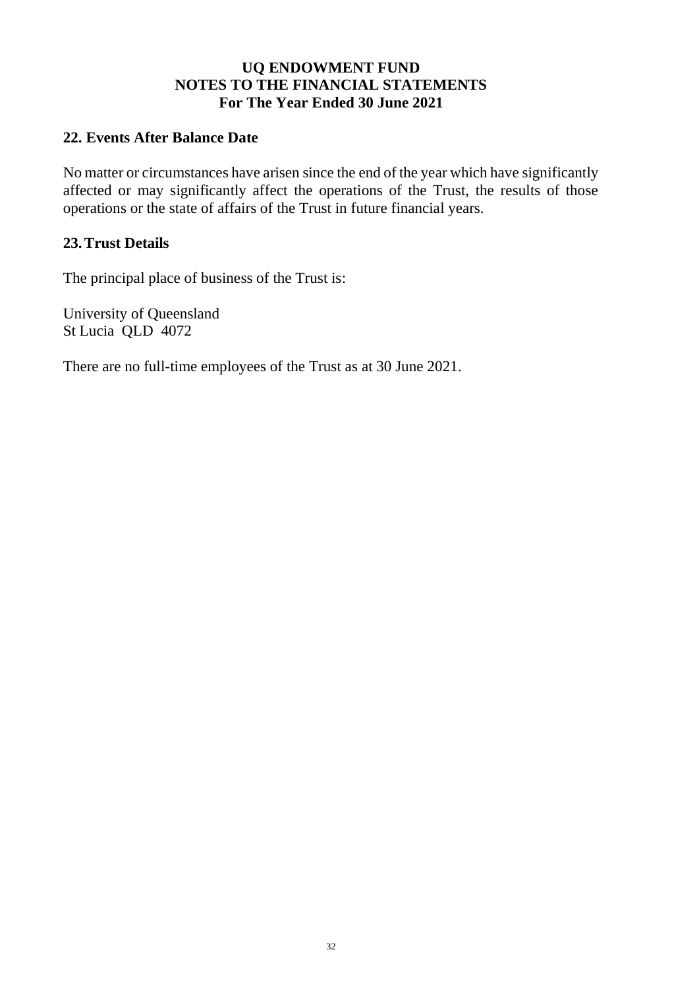### **22. Events After Balance Date**

No matter or circumstances have arisen since the end of the year which have significantly affected or may significantly affect the operations of the Trust, the results of those operations or the state of affairs of the Trust in future financial years.

#### **23.Trust Details**

The principal place of business of the Trust is:

University of Queensland St Lucia QLD 4072

There are no full-time employees of the Trust as at 30 June 2021.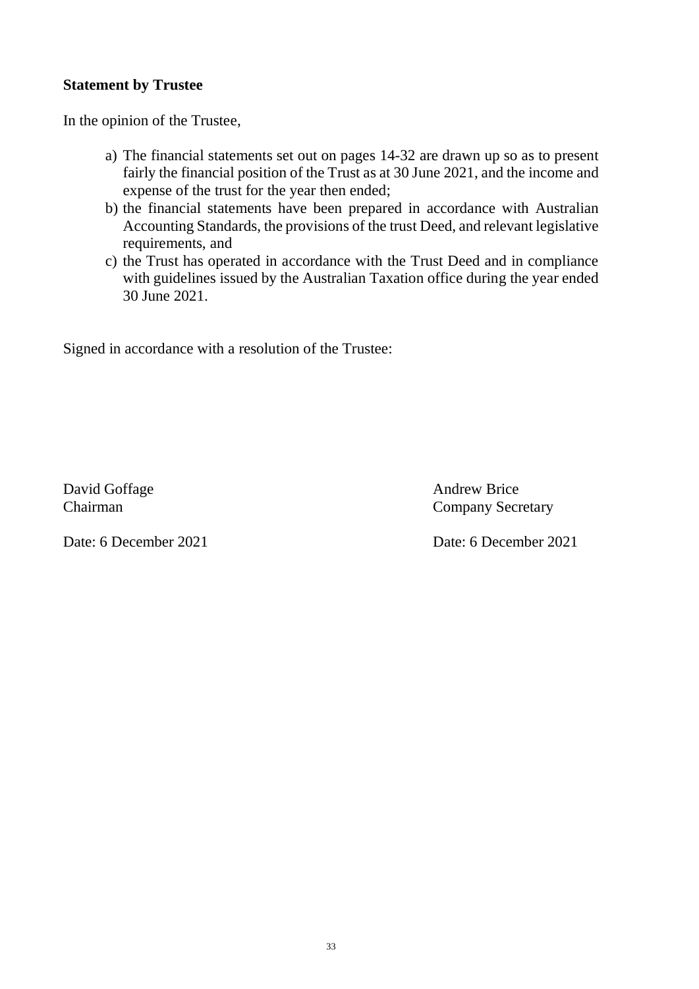### **Statement by Trustee**

In the opinion of the Trustee,

- a) The financial statements set out on pages 14-32 are drawn up so as to present fairly the financial position of the Trust as at 30 June 2021, and the income and expense of the trust for the year then ended;
- b) the financial statements have been prepared in accordance with Australian Accounting Standards, the provisions of the trust Deed, and relevant legislative requirements, and
- c) the Trust has operated in accordance with the Trust Deed and in compliance with guidelines issued by the Australian Taxation office during the year ended 30 June 2021.

Signed in accordance with a resolution of the Trustee:

David Goffage Andrew Brice

Chairman Company Secretary

Date: 6 December 2021 Date: 6 December 2021